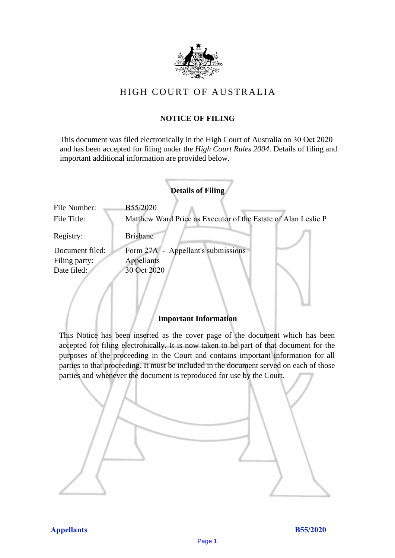

# HIGH COURT OF AU STRALIA HIGH COURT OF AUSTRALIA

# **NOTICE OF FILING** NOTICE OF FILING

This document was filed electronically in the High Court of Australia on 30 Oct 2020 This document was filed electronically in the High Court of Australia 0 and has been accepted for filing under the *High Court Rules 2004*. Details of filing and important additional information are provided below. important additional information are provided below.

| <b>Details of Filing</b>                                      |
|---------------------------------------------------------------|
| B55/2020                                                      |
| Matthew Ward Price as Executor of the Estate of Alan Leslie P |
| <b>Brisbane</b>                                               |
| Form 27A - Appellant's submissions                            |
| Appellants                                                    |
| 30 Oct 2020                                                   |
|                                                               |

## **Important Information** Important Information

This Notice has been inserted as the cover page of the document which has been accepted for filing electronically. It is now taken to be part of that document for the purposes of the proceeding in the Court and contains important information for all parties to that proceeding. It must be included in the document served on each of those parties and whenever the document is reproduced for use by the Court. parties and whenever the document is reproduced for use by the Court

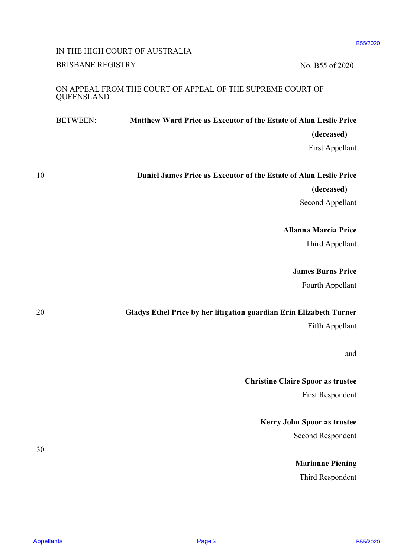# IN THE HIGH COURT OF AUSTRALIA IN THE HIGH COURT OF AUSTRALIA BRISBANE REGISTRY No. B55 of 2020

## ON APPEAL FROM THE COURT OF APPEAL OF THE SUPREME COURT OF ON APPEAL FROM THE COURT OF APPEAL OF THE SUPREME COURT OF QUEENSLAND QUEENSLAND

|                   |                                                                          | IN THE HIGH COURT OF AUSTRALIA                                      | B55/2020                                 |
|-------------------|--------------------------------------------------------------------------|---------------------------------------------------------------------|------------------------------------------|
|                   | <b>BRISBANE REGISTRY</b>                                                 |                                                                     | No. B55 of 2020                          |
|                   | ON APPEAL FROM THE COURT OF APPEAL OF THE SUPREME COURT OF<br>QUEENSLAND |                                                                     |                                          |
|                   | <b>BETWEEN:</b>                                                          | Matthew Ward Price as Executor of the Estate of Alan Leslie Price   |                                          |
|                   |                                                                          |                                                                     | (deceased)                               |
|                   |                                                                          |                                                                     | First Appellant                          |
| 10                |                                                                          | Daniel James Price as Executor of the Estate of Alan Leslie Price   |                                          |
|                   |                                                                          |                                                                     | (deceased)                               |
|                   |                                                                          |                                                                     | Second Appellant                         |
|                   |                                                                          |                                                                     | <b>Allanna Marcia Price</b>              |
|                   |                                                                          |                                                                     | Third Appellant                          |
|                   |                                                                          |                                                                     | <b>James Burns Price</b>                 |
|                   |                                                                          |                                                                     | Fourth Appellant                         |
| 20                |                                                                          | Gladys Ethel Price by her litigation guardian Erin Elizabeth Turner |                                          |
|                   |                                                                          |                                                                     | Fifth Appellant                          |
|                   |                                                                          |                                                                     | and                                      |
|                   |                                                                          |                                                                     | <b>Christine Claire Spoor as trustee</b> |
|                   |                                                                          |                                                                     | <b>First Respondent</b>                  |
|                   |                                                                          |                                                                     | Kerry John Spoor as trustee              |
|                   |                                                                          |                                                                     | Second Respondent                        |
| 30                |                                                                          |                                                                     | <b>Marianne Piening</b>                  |
|                   |                                                                          |                                                                     | Third Respondent                         |
|                   |                                                                          |                                                                     |                                          |
| <b>Appellants</b> |                                                                          | Page 2                                                              | B55/2020                                 |

B55/2020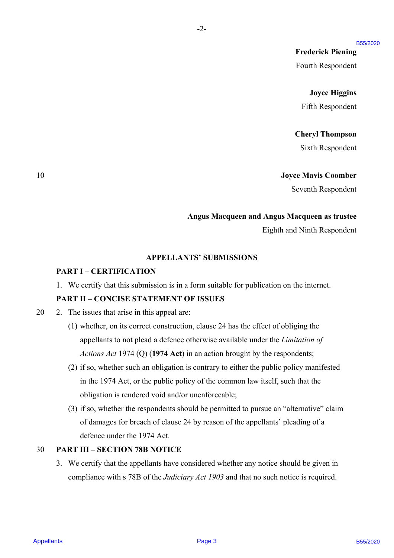**Frederick Piening** Frederick Piening Fourth Respondent Fourth Respondent

#### **Joyce Higgins** Joyce Higgins

Fifth Respondent Fifth Respondent

#### **Cheryl Thompson** Cheryl Thompson

Sixth Respondent Sixth Respondent

#### 10 **Joyce Mavis Coomber** 10 Joyce Mavis Coomber

Seventh Respondent Seventh Respondent

#### **Angus Macqueen and Angus Macqueen as trustee** Angus Macqueen and Angus Macqueen as trustee

Eighth and Ninth Respondent Eighth and Ninth Respondent

#### **APPELLANTS' SUBMISSIONS** APPELLANTS' SUBMISSIONS

-2-

# **PART I – CERTIFICATION** PART I - CERTIFICATION

1. We certify that this submission is in a form suitable for publication on the internet. 1. We certify that this submission is in <sup>a</sup> form suitable for publication on the internet.

# **PART II – CONCISE STATEMENT OF ISSUES** PART II —-CONCISE STATEMENT OF ISSUES

20 2. The issues that arise in this appeal are: 20 2. The issues that arise in this appeal are:

- (1) whether, on its correct construction, clause 24 has the effect of obliging the (1) whether, on its correct construction, clause 24 has the effect of obliging the appellants to not plead a defence otherwise available under the *Limitation of* appellants to not plead a defence otherwise available under the Limitation of *Actions Act* 1974 (Q) (**1974 Act**) in an action brought by the respondents; Actions Act 1974 (Q) (1974 Act) in an action brought by the respondents;
- (2) if so, whether such an obligation is contrary to either the public policy manifested (2) if so, whether such an obligation is contrary to either the public policy manifested in the 1974 Act, or the public policy of the common law itself, such that the in the 1974 Act, or the public policy of the common law itself, such that the obligation is rendered void and/or unenforceable; obligation is rendered void and/or unenforceable; Freederick Piesning<br>
Freederick Piesning<br>
From Responsion<br>
From Responsion<br>  $\frac{1}{2}$  B and From Bengondent<br>
Service Responses<br>
(Service Responses<br>
(Service Responses<br>
(Service Responses<br>
(Service Responses<br>
(Service Resp
	- (3) if so, whether the respondents should be permitted to pursue an "alternative" claim (3) if so, whether the respondents should be permitted to pursue an "alternative" claim of damages for breach of clause 24 by reason of the appellants' pleading of a of damages for breach of clause 24 by reason of the appellants' pleading of <sup>a</sup> defence under the 1974 Act. defence under the 1974 Act.

#### 30 **PART III – SECTION 78B NOTICE** 30 PART IIT—SECTION 78B NOTICE

3. We certify that the appellants have considered whether any notice should be given in 3. We certify that the appellants have considered whether any notice should be given in compliance with s 78B of the *Judiciary Act 1903* and that no such notice is required. compliance with <sup>s</sup> 78B of the Judiciary Act 1903 and that no such notice is required.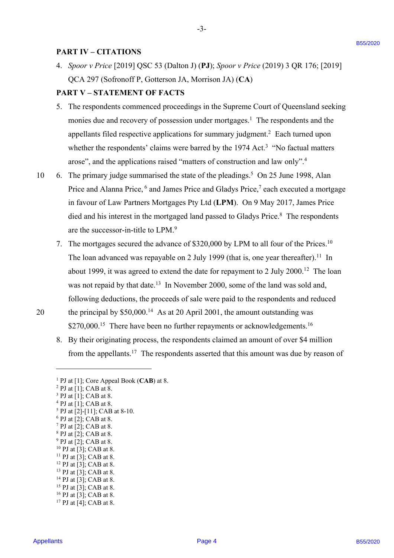## **PART IV – CITATIONS**

4. *Spoor v Price* [2019] QSC 53 (Dalton J) (**PJ**); *Spoor v Price* (2019) 3 QR 176; [2019] 4. Spoor v Price [2019] QSC 53 (Dalton J) (PJ); Spoor v Price (2019) <sup>3</sup> QR 176; [2019] QCA 297 (Sofronoff P, Gotterson JA, Morrison JA) (**CA**) QCA 297 (Sofronoff P, Gotterson JA, Morrison JA) (CA)

-3-

#### **PART V – STATEMENT OF FACTS** PART V —-STATEMENT OF FACTS

- 5. The respondents commenced proceedings in the Supreme Court of Queensland seeking 5. The respondents commenced proceedings in the Supreme Court of Queensland seeking monies due and recovery of possession under mortgages.<sup>1</sup> The respondents and the appellants filed respective applications for summary judgment.<sup>2</sup> Each turned upon whether the respondents' claims were barred by the 1974 Act.<sup>3</sup> "No factual matters arose", and the applications raised "matters of construction and law only". 4 arose", and the applications raised "matters of construction and law only".4
- 10 6. The primary judge summarised the state of the pleadings.<sup>5</sup> On 25 June 1998, Alan Price and Alanna Price, 6 and James Price and Gladys Price,<sup>7</sup> each executed a mortgage in favour of Law Partners Mortgages Pty Ltd (**LPM**). On 9 May 2017, James Price in favour of Law Partners Mortgages Pty Ltd (LPM). On 9 May 2017, James Price died and his interest in the mortgaged land passed to Gladys Price.<sup>8</sup> The respondents are the successor-in-title to LPM.9 are the successor-in-title to LPM.'
- 7. The mortgages secured the advance of \$320,000 by LPM to all four of the Prices. 10 7. The mortgages secured the advance of \$320,000 by LPM to all four of the Prices.!° The loan advanced was repayable on 2 July 1999 (that is, one year thereafter).<sup>11</sup> In about 1999, it was agreed to extend the date for repayment to 2 July 2000.<sup>12</sup> The loan was not repaid by that date.<sup>13</sup> In November 2000, some of the land was sold and, following deductions, the proceeds of sale were paid to the respondents and reduced following deductions, the proceeds of sale were paid to the respondents and reduced 20 the principal by  $$50,000$ .<sup>14</sup> As at 20 April 2001, the amount outstanding was **FART IV – CITATIONS**<br>
(a.  $2\cos\theta \times \theta^2$  region (b) (1953) (b) (c) (30) (c) (30) (c) (31) (c) (21) (c) (21) (c) (21) (c) (21) (c) (21) (c) (21) (c) (21) (c) (21) (c) (21) (c) (21) (c) (21) (c) (21) (c) (21) (c) (21) (c) (
- 

\$270,000.<sup>15</sup> There have been no further repayments or acknowledgements.<sup>16</sup>

8. By their originating process, the respondents claimed an amount of over \$4 million 8. By their originating process, the respondents claimed an amount of over \$4 million from the appellants.<sup>17</sup> The respondents asserted that this amount was due by reason of

<sup>14</sup> PJ at [3]; CAB at 8.

 $16$  PJ at [3]; CAB at 8.

 $<sup>1</sup>$  PJ at [1]; Core Appeal Book (CAB) at 8.</sup>

 $2$  PJ at [1]; CAB at 8.

 $3$  PJ at [1]; CAB at 8.

 $4$  PJ at [1]; CAB at 8.

 $5$  PJ at [2]-[11]; CAB at 8-10.

 $6$  PJ at [2]; CAB at 8.

 $7$  PJ at [2]; CAB at 8.

<sup>8</sup> PJ at [2]; CAB at 8. 8PJ at [2]; CAB at 8.  $9$  PJ at [2]; CAB at 8.

 $10$  PJ at [3]; CAB at 8.

 $11$  PJ at [3]; CAB at 8.

 $12$  PJ at [3]; CAB at 8.

 $13$  PJ at [3]; CAB at 8.

 $15$  PJ at [3]; CAB at 8.

 $17$  PJ at [4]; CAB at 8.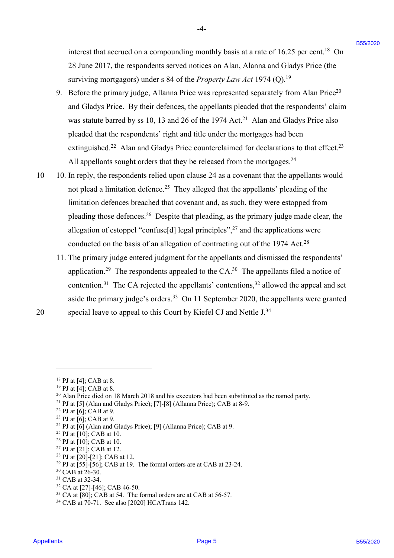interest that accrued on a compounding monthly basis at a rate of  $16.25$  per cent.<sup>18</sup> On 28 June 2017, the respondents served notices on Alan, Alanna and Gladys Price (the 28 June 2017, the respondents served notices on Alan, Alanna and Gladys Price (the surviving mortgagors) under s 84 of the *Property Law Act* 1974 (Q).<sup>19</sup>

-4- -4-

- 9. Before the primary judge, Allanna Price was represented separately from Alan Price<sup>20</sup> and Gladys Price. By their defences, the appellants pleaded that the respondents' claim and Gladys Price. By their defences, the appellants pleaded that the respondents' claim was statute barred by ss 10, 13 and 26 of the 1974 Act.<sup>21</sup> Alan and Gladys Price also pleaded that the respondents' right and title under the mortgages had been pleaded that the respondents' right and title under the mortgages had been extinguished.<sup>22</sup> Alan and Gladys Price counterclaimed for declarations to that effect.<sup>23</sup> All appellants sought orders that they be released from the mortgages.<sup>24</sup>
- 10 10. In reply, the respondents relied upon clause 24 as a covenant that the appellants would not plead a limitation defence.<sup>25</sup> They alleged that the appellants' pleading of the limitation defences breached that covenant and, as such, they were estopped from limitation defences breached that covenant and, as such, they were estopped from pleading those defences.<sup>26</sup> Despite that pleading, as the primary judge made clear, the allegation of estoppel "confuse[d] legal principles", $27$  and the applications were conducted on the basis of an allegation of contracting out of the 1974 Act. 28 conducted on the basis of an allegation of contracting out of the 1974 Act.?8 interest that accross on a compounding monthly bosts at a misc of 16.25 per cent.<sup>36</sup> Os June 2017, the respondents several resistence on Aim Andrea uned Gladge Prise Circles (16.75). But the control in the control in Aim
- 11. The primary judge entered judgment for the appellants and dismissed the respondents' 11. The primary judge entered judgment for the appellants and dismissed the respondents' application.<sup>29</sup> The respondents appealed to the CA.<sup>30</sup> The appellants filed a notice of contention.<sup>31</sup> The CA rejected the appellants' contentions,<sup>32</sup> allowed the appeal and set aside the primary judge's orders.<sup>33</sup> On 11 September 2020, the appellants were granted 20 special leave to appeal to this Court by Kiefel CJ and Nettle J.<sup>34</sup>

 $27$  PJ at [21]; CAB at 12.

 $30$  CAB at 26-30.

<sup>32</sup> CA at [27]-[46]; CAB 46-50.

 $18$  PJ at [4]; CAB at 8.

 $19$  PJ at [4]; CAB at 8.

 $20$  Alan Price died on 18 March 2018 and his executors had been substituted as the named party.

<sup>&</sup>lt;sup>21</sup> PJ at [5] (Alan and Gladys Price); [7]-[8] (Allanna Price); CAB at 8-9.

 $22$  PJ at [6]; CAB at 9.

 $23$  PJ at [6]; CAB at 9.

 $24$  PJ at [6] (Alan and Gladys Price); [9] (Allanna Price); CAB at 9.

<sup>&</sup>lt;sup>25</sup> PJ at [10]; CAB at 10.

 $26$  PJ at [10]; CAB at 10.

 $28$  PJ at [20]-[21]; CAB at 12.

 $29$  PJ at [55]-[56]; CAB at 19. The formal orders are at CAB at 23-24.

<sup>&</sup>lt;sup>31</sup> CAB at 32-34.

 $33$  CA at [80]; CAB at 54. The formal orders are at CAB at 56-57.

<sup>34</sup> CAB at 70-71. See also [2020] HCATrans 142. <sup>34</sup> CAB at 70-71. See also [2020] HCATrans 142.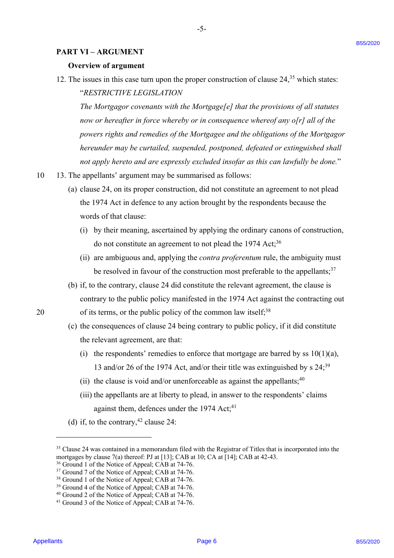#### **PART VI – ARGUMENT** PART VI —-ARGUMENT

#### **Overview of argument** Overview of argument

12. The issues in this case turn upon the proper construction of clause  $24$ ,<sup>35</sup> which states: "*RESTRICTIVE LEGISLATION* "RESTRICTIVE LEGISLATION

The Mortgagor covenants with the Mortgage[e] that the provisions of all statutes now or hereafter in force whereby or in consequence whereof any o[r] all of the *powers rights and remedies of the Mortgagee and the obligations of the Mortgagor*  powers rights and remedies ofthe Mortgagee and the obligations of the Mortgagor *hereunder may be curtailed, suspended, postponed, defeated or extinguished shall*  hereunder may be curtailed, suspended, postponed, defeated or extinguished shall *not apply hereto and are expressly excluded insofar as this can lawfully be done.*" not apply hereto and are expressly excluded insofar as this can lawfully be done." Appellants B55/2020 B55/2020 Page 6

- 10 13. The appellants' argument may be summarised as follows: 10 <sup>=</sup> 13. The appellants' argument may be summarised as follows:
	- (a) clause 24, on its proper construction, did not constitute an agreement to not plead (a) clause 24, on its proper construction, did not constitute an agreement to not plead the 1974 Act in defence to any action brought by the respondents because the the 1974 Act in defence to any action brought by the respondents because the words of that clause: words of that clause:
		- (i) by their meaning, ascertained by applying the ordinary canons of construction, (1) by their meaning, ascertained by applying the ordinary canons of construction, do not constitute an agreement to not plead the 1974 Act;<sup>36</sup>
		- (ii) are ambiguous and, applying the *contra proferentum* rule, the ambiguity must (ii) are ambiguous and, applying the contra proferentum rule, the ambiguity must be resolved in favour of the construction most preferable to the appellants;<sup>37</sup>
- (b) if, to the contrary, clause 24 did constitute the relevant agreement, the clause is (b) if, to the contrary, clause 24 did constitute the relevant agreement, the clause is contrary to the public policy manifested in the 1974 Act against the contracting out contrary to the public policy manifested in the 1974 Act against the contracting out 20 of its terms, or the public policy of the common law itself;<sup>38</sup>
	- (c) the consequences of clause 24 being contrary to public policy, if it did constitute (c) the consequences of clause <sup>24</sup> being contrary to public policy, if it did constitute the relevant agreement, are that: the relevant agreement, are that:
		- (i) the respondents' remedies to enforce that mortgage are barred by ss  $10(1)(a)$ , 13 and/or 26 of the 1974 Act, and/or their title was extinguished by s 24; 39 13 and/or 26 of the 1974 Act, and/or their title was extinguished by <sup>s</sup> 24;°°
		- (ii) the clause is void and/or unenforceable as against the appellants;  $40$
		- (iii) the appellants are at liberty to plead, in answer to the respondents' claims against them, defences under the 1974 Act;<sup>41</sup>
	- (d) if, to the contrary,  $42$  clause 24:

B55/2020

<sup>35</sup> Clause 24 was contained in a memorandum filed with the Registrar of Titles that is incorporated into the <sup>35</sup> Clause 24 was contained in a memorandum filed with the Registrar of Titles that is incorporated into the mortgages by clause 7(a) thereof: PJ at [13]; CAB at 10; CA at [14]; CAB at 42-43.

<sup>&</sup>lt;sup>36</sup> Ground 1 of the Notice of Appeal; CAB at 74-76.

<sup>&</sup>lt;sup>37</sup> Ground 7 of the Notice of Appeal; CAB at 74-76.

<sup>&</sup>lt;sup>38</sup> Ground 1 of the Notice of Appeal; CAB at 74-76.

<sup>&</sup>lt;sup>39</sup> Ground 4 of the Notice of Appeal; CAB at 74-76.

<sup>&</sup>lt;sup>40</sup> Ground 2 of the Notice of Appeal; CAB at 74-76.

<sup>&</sup>lt;sup>41</sup> Ground 3 of the Notice of Appeal; CAB at 74-76.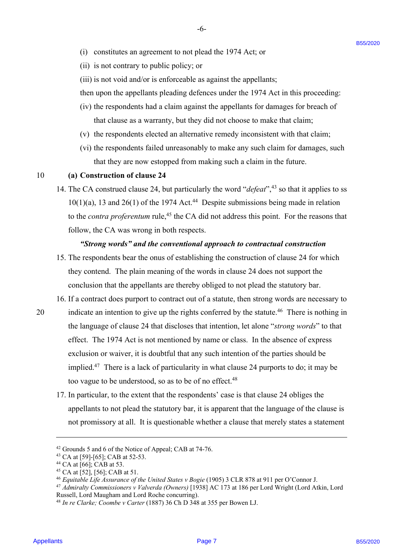- (ii) is not contrary to public policy; or (11) is not contrary to public policy; or
- (iii) is not void and/or is enforceable as against the appellants;

then upon the appellants pleading defences under the 1974 Act in this proceeding: then upon the appellants pleading defences under the 1974 Act in this proceeding:

-6- -6-

- (iv) the respondents had a claim against the appellants for damages for breach of (iv) the respondents had <sup>a</sup> claim against the appellants for damages for breach of that clause as a warranty, but they did not choose to make that claim; that clause as <sup>a</sup> warranty, but they did not choose to make that claim;
- (v) the respondents elected an alternative remedy inconsistent with that claim; (v) the respondents elected an alternative remedy inconsistent with that claim;
- (vi) the respondents failed unreasonably to make any such claim for damages, such (vi) the respondents failed unreasonably to make any such claim for damages, such that they are now estopped from making such a claim in the future. that they are now estopped from making sucha claim in the future.

#### 10 **(a) Construction of clause 24** <sup>10</sup> (a) Construction of clause 24

14. The CA construed clause 24, but particularly the word "*defeat*",<sup>43</sup> so that it applies to ss  $10(1)(a)$ , 13 and 26(1) of the 1974 Act.<sup>44</sup> Despite submissions being made in relation to the *contra proferentum* rule,<sup>45</sup> the CA did not address this point. For the reasons that follow, the CA was wrong in both respects. follow, the CA was wrong in both respects.

#### *"Strong words" and the conventional approach to contractual construction* "Strong words" and the conventional approach to contractual construction

- 15. The respondents bear the onus of establishing the construction of clause 24 for which 15. The respondents bear the onus of establishing the construction of clause 24 for which they contend. The plain meaning of the words in clause 24 does not support the they contend. The plain meaning of the words in clause 24 does not support the conclusion that the appellants are thereby obliged to not plead the statutory bar. conclusion that the appellants are thereby obliged to not plead the statutory bar.
- 16. If a contract does purport to contract out of a statute, then strong words are necessary to 16. If <sup>a</sup> contract does purport to contract out of <sup>a</sup> statute, then strong words are necessary to
- 20 indicate an intention to give up the rights conferred by the statute.<sup>46</sup> There is nothing in the language of clause 24 that discloses that intention, let alone "*strong words*" to that the language of clause 24 that discloses that intention, let alone "strong words" to that effect. The 1974 Act is not mentioned by name or class. In the absence of express effect. The 1974 Act is not mentioned by name or class.In the absence of express exclusion or waiver, it is doubtful that any such intention of the parties should be exclusion or waiver, it is doubtful that any such intention of the parties should be implied.<sup>47</sup> There is a lack of particularity in what clause 24 purports to do; it may be too vague to be understood, so as to be of no effect.<sup>48</sup> (i) constraints in a generator is not plead the 1974 Act; or<br>
(ii) is not context proposition in product the specificality of the specificality<br>
(ii) is not vestical and visit in decreasing the constraints B55 Act in this
	- 17. In particular, to the extent that the respondents' case is that clause 24 obliges the 17. In particular, to the extent that the respondents' case is that clause 24 obliges the appellants to not plead the statutory bar, it is apparent that the language of the clause is appellants to not plead the statutory bar, it is apparent that the language of the clause is not promissory at all. It is questionable whether a clause that merely states a statement not promissory at all. It is questionable whether a clause that merely states <sup>a</sup> statement

<sup>&</sup>lt;sup>42</sup> Grounds 5 and 6 of the Notice of Appeal; CAB at 74-76.

<sup>43</sup> CA at [59]-[65]; CAB at 52-53.

 $44$  CA at [66]; CAB at 53.

 $45$  CA at [52], [56]; CAB at 51.

<sup>&</sup>lt;sup>46</sup> Equitable Life Assurance of the United States v Bogie (1905) 3 CLR 878 at 911 per O'Connor J.

<sup>&</sup>lt;sup>47</sup> Admiralty Commissioners v Valverda (Owners) [1938] AC 173 at 186 per Lord Wright (Lord Atkin, Lord Russell, Lord Maugham and Lord Roche concurring).

<sup>48</sup> *In re Clarke; Coombe v Carter* (1887) 36 Ch D 348 at 355 per Bowen LJ. <sup>48</sup> In re Clarke; Coombe v Carter (1887) 36 Ch D 348 at 355 per Bowen LJ.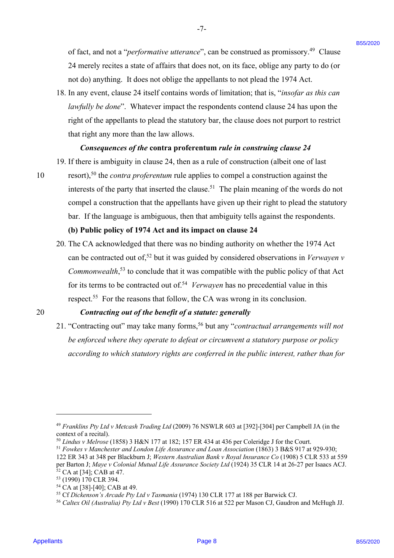of fact, and not a "*performative utterance*", can be construed as promissory.<sup>49</sup> Clause 24 merely recites a state of affairs that does not, on its face, oblige any party to do (or 24 merely recites <sup>a</sup> state of affairs that does not, on its face, oblige any party to do (or not do) anything. It does not oblige the appellants to not plead the 1974 Act. not do) anything. It does not oblige the appellants to not plead the 1974 Act.

-7- -7-

18. In any event, clause 24 itself contains words of limitation; that is, "insofar as this can lawfully be done". Whatever impact the respondents contend clause 24 has upon the right of the appellants to plead the statutory bar, the clause does not purport to restrict right of the appellants to plead the statutory bar, the clause does not purport to restrict that right any more than the law allows. that right any more than the law allows.

# *Consequences of the* **contra proferentum** *rule in construing clause 24* Consequences ofthe contra proferentum rule in construing clause <sup>24</sup>

- 19. If there is ambiguity in clause 24, then as a rule of construction (albeit one of last 19. If there is ambiguity in clause 24, then as <sup>a</sup> rule of construction (albeit one of last
- 10 resort),<sup>50</sup> the *contra proferentum* rule applies to compel a construction against the

interests of the party that inserted the clause.<sup>51</sup> The plain meaning of the words do not compel a construction that the appellants have given up their right to plead the statutory compel a construction that the appellants have given up their right to plead the statutory bar. If the language is ambiguous, then that ambiguity tells against the respondents.

#### **(b) Public policy of 1974 Act and its impact on clause 24** (b) Public policy of 1974 Act and its impact on clause 24

20. The CA acknowledged that there was no binding authority on whether the 1974 Act 20. The CA acknowledged that there was no binding authority on whether the 1974 Act can be contracted out of,<sup>52</sup> but it was guided by considered observations in *Verwayen v* Commonwealth,<sup>53</sup> to conclude that it was compatible with the public policy of that Act for its terms to be contracted out of.<sup>54</sup> Verwayen has no precedential value in this respect.<sup>55</sup> For the reasons that follow, the CA was wrong in its conclusion. of first, and not a "perglomastive asteromoc", can be constructed as promissory.<sup>9</sup> Clause<br>
24 reared reactions a statistic button sensitive and constraints but the specifies are properties and constraint and the first bu

# 20 *Contracting out of the benefit of a statute: generally* <sup>20</sup> Contracting out ofthe benefit of <sup>a</sup> statute: generally

21. "Contracting out" may take many forms, <sup>56</sup> but any "*contractual arrangements will not*  21. "Contracting out" may take many forms,°° but any "contractual arrangements will not *be enforced where they operate to defeat or circumvent a statutory purpose or policy*  be enforced where they operate to defeat or circumvent a statutory purpose or policy according to which statutory rights are conferred in the public interest, rather than for

<sup>51</sup> *Fowkes v Manchester and London Life Assurance and Loan Association* (1863) 3 B&S 917 at 929-930; 5! Fowkes v Manchester and London Life Assurance and Loan Association (1863) <sup>3</sup> B&S 917 at 929-930; 122 ER 343 at 348 per Blackburn J; *Western Australian Bank v Royal Insurance Co* (1908) 5 CLR 533 at 559 122 ER 343 at 348 per Blackburn J; Western Australian Bank v Royal Insurance Co (1908) <sup>5</sup> CLR 533 at 559 per Barton J; *Maye v Colonial Mutual Life Assurance Society Ltd* (1924) 35 CLR 14 at 26-27 per Isaacs ACJ.  $52$  CA at [34]; CAB at 47.

<sup>49</sup> *Franklins Pty Ltd v Metcash Trading Ltd* (2009) 76 NSWLR 603 at [392]-[304] per Campbell JA (in the 4° Franklins Pty Ltd v Metcash Trading Ltd (2009) 76 NSWLR 603 at [392]-[304] per Campbell JA (in the context of a recital). context of a recital).

<sup>&</sup>lt;sup>50</sup> Lindus v Melrose (1858) 3 H&N 177 at 182; 157 ER 434 at 436 per Coleridge J for the Court.

<sup>53 (1990) 170</sup> CLR 394.

<sup>&</sup>lt;sup>54</sup> CA at [38]-[40]; CAB at 49.

<sup>&</sup>lt;sup>55</sup> Cf Dickenson's Arcade Pty Ltd v Tasmania (1974) 130 CLR 177 at 188 per Barwick CJ.

<sup>56</sup> *Caltex Oil (Australia) Pty Ltd v Best* (1990) 170 CLR 516 at 522 per Mason CJ, Gaudron and McHugh JJ. 5° Caltex Oil (Australia) Pty Ltd v Best (1990) 170 CLR 516 at 522 per Mason CJ, Gaudron and McHugh JJ.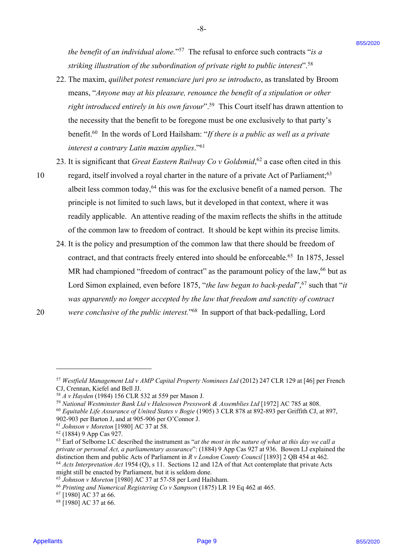*the benefit of an individual alone."<sup>57</sup> The refusal to enforce such contracts "is a* striking illustration of the subordination of private right to public interest".<sup>58</sup>

-8- -8-

- 22. The maxim, quilibet potest renunciare juri pro se introducto, as translated by Broom means, "*Anyone may at his pleasure, renounce the benefit of a stipulation or other*  means, "Anyone may at his pleasure, renounce the benefit of a stipulation or otherright introduced entirely in his own favour".<sup>59</sup> This Court itself has drawn attention to the necessity that the benefit to be foregone must be one exclusively to that party's the necessity that the benefit to be foregone must be one exclusively to that party's benefit.<sup>60</sup> In the words of Lord Hailsham: "If there is a public as well as a private *interest a contrary Latin maxim applies*."61 interest a contrary Latin maxim applies."®' the boneyit of our distribution of our e<sup>-137</sup>. The restricted to entrience such contracts "16<br>
and solve the contracts B5 (b) when the bone such a publisher and the such a state of the such a state of the such a state of
	- 23. It is significant that *Great Eastern Railway Co v Goldsmid*,<sup>62</sup> a case often cited in this

10 regard, itself involved a royal charter in the nature of a private Act of Parliament;<sup>63</sup> albeit less common today,<sup>64</sup> this was for the exclusive benefit of a named person. The principle is not limited to such laws, but it developed in that context, where it was principle is not limited to such laws, but it developed in that context, where it was readily applicable. An attentive reading of the maxim reflects the shifts in the attitude readily applicable. An attentive reading of the maxim reflects the shifts in the attitude of the common law to freedom of contract. It should be kept within its precise limits. of the common law to freedom of contract. It should be kept within its precise limits.

24. It is the policy and presumption of the common law that there should be freedom of 24. It is the policy and presumption of the common law that there should be freedom of contract, and that contracts freely entered into should be enforceable.<sup>65</sup> In 1875, Jessel MR had championed "freedom of contract" as the paramount policy of the law, 66 but as Lord Simon explained, even before 1875, "*the law began to back-pedal*",<sup>67</sup> such that "*it* was apparently no longer accepted by the law that freedom and sanctity of contract 20 were conclusive of the public interest."<sup>68</sup> In support of that back-pedalling, Lord

<sup>&</sup>lt;sup>57</sup> Westfield Management Ltd v AMP Capital Property Nominees Ltd (2012) 247 CLR 129 at [46] per French CJ, Crennan, Kiefel and Bell JJ.

<sup>&</sup>lt;sup>58</sup> *A v Hayden* (1984) 156 CLR 532 at 559 per Mason J.

<sup>&</sup>lt;sup>59</sup> National Westminster Bank Ltd v Halesowen Presswork & Assemblies Ltd [1972] AC 785 at 808.

<sup>60</sup> *Equitable Life Assurance of United States v Bogie* (1905) 3 CLR 878 at 892-893 per Griffith CJ, at 897, 6° Equitable Life Assurance of United States v Bogie (1905) <sup>3</sup> CLR 878 at 892-893 per Griffith CJ, at 897, 902-903 per Barton J, and at 905-906 per O'Connor J. 902-903 per Barton J, and at 905-906 per O'Connor J.

<sup>&</sup>lt;sup>61</sup> *Johnson v Moreton* [1980] AC 37 at 58.

 $62$  (1884) 9 App Cas 927.

 $63$  Earl of Selborne LC described the instrument as "at the most in the nature of what at this day we call a private or personal Act, a parliamentary assurance": (1884) 9 App Cas 927 at 936. Bowen LJ explained the distinction them and public Acts of Parliament in *R v London County Council* [1893] 2 QB 454 at 462. <sup>64</sup> *Acts Interpretation Act* 1954 (Q), s 11. Sections 12 and 12A of that Act contemplate that private Acts <sup>64</sup> Acts Interpretation Act 1954 (Q), s 11. Sections 12 and 12A of that Act contemplate that private Acts

might still be enacted by Parliament, but it is seldom done.

<sup>&</sup>lt;sup>65</sup> Johnson v Moreton [1980] AC 37 at 57-58 per Lord Hailsham.

<sup>&</sup>lt;sup>66</sup> Printing and Numerical Registering Co v Sampson (1875) LR 19 Eq 462 at 465.

 $67$  [1980] AC 37 at 66.

<sup>68</sup> [1980] AC 37 at 66. <sup>68</sup> [1980] AC 37 at 66.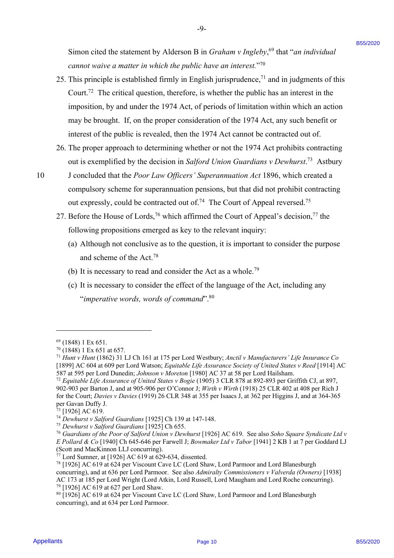Simon cited the statement by Alderson B in *Graham v Ingleby*, <sup>69</sup> that "*an individual* Simon cited the statement by Alderson <sup>B</sup> in Graham v Ingleby,® that "an individual *cannot waive a matter in which the public have an interest.*"70 cannot waive a matter in which the public have an interest."

-9- -9-

- 25. This principle is established firmly in English jurisprudence,<sup> $71$ </sup> and in judgments of this Court.<sup>72</sup> The critical question, therefore, is whether the public has an interest in the imposition, by and under the 1974 Act, of periods of limitation within which an action may be brought. If, on the proper consideration of the 1974 Act, any such benefit or may be brought. If, on the proper consideration of the 1974 Act, any such benefit or interest of the public is revealed, then the 1974 Act cannot be contracted out of. Simon cited the statement by Alderson B in *Greatony v Pageley*;<sup>9</sup> that "an *individual*<br> *Control where another between level the page 10 between* in *C between C*<sup>21</sup><br> **Control Control in the control in the** 
	- 26. The proper approach to determining whether or not the 1974 Act prohibits contracting 26. The proper approach to determining whether or not the 1974 Act prohibits contracting out is exemplified by the decision in *Salford Union Guardians v Dewhurst*.<sup>73</sup> Astbury
- 10 J concluded that the *Poor Law Officers' Superannuation Act* 1896, which created a 10 <sup>J</sup> concluded that the Poor Law Officers' Superannuation Act 1896, which created <sup>a</sup> compulsory scheme for superannuation pensions, but that did not prohibit contracting compulsory scheme for superannuation pensions, but that did not prohibit contracting out expressly, could be contracted out of.<sup>74</sup> The Court of Appeal reversed.<sup>75</sup>
	- 27. Before the House of Lords,<sup>76</sup> which affirmed the Court of Appeal's decision,<sup>77</sup> the following propositions emerged as key to the relevant inquiry: following propositions emerged as key to the relevant inquiry:
		- (a) Although not conclusive as to the question, it is important to consider the purpose (a) Although not conclusive as to the question, it is important to consider the purpose and scheme of the Act.78 and scheme of the Act.'®
		- (b) It is necessary to read and consider the Act as a whole.79 (b) It is necessary to read and consider the Act as a whole."
		- (c) It is necessary to consider the effect of the language of the Act, including any (c) It is necessary to consider the effect of the language of the Act, including any "imperative words, words of command".<sup>80</sup>

 $69$  (1848) 1 Ex 651.

 $70$  (1848) 1 Ex 651 at 657.

<sup>71</sup> *Hunt v Hunt* (1862) 31 LJ Ch 161 at 175 per Lord Westbury; *Anctil v Manufacturers' Life Insurance Co*  Hunt v Hunt (1862) 31 LJ Ch 161 at 175 per Lord Westbury; Anctil v Manufacturers' Life Insurance Co [1899] AC 604 at 609 per Lord Watson; *Equitable Life Assurance Society of United States v Reed* [1914] AC [1899] AC 604 at 609 per Lord Watson; Equitable Life Assurance Society of United States v Reed [1914] AC 587 at 595 per Lord Dunedin; *Johnson v Moreton* [1980] AC 37 at 58 per Lord Hailsham.

<sup>&</sup>lt;sup>72</sup> Equitable Life Assurance of United States v Bogie (1905) 3 CLR 878 at 892-893 per Griffith CJ, at 897, 902-903 per Barton J, and at 905-906 per O'Connor J; Wirth v Wirth (1918) 25 CLR 402 at 408 per Rich J for the Court; *Davies v Davies* (1919) 26 CLR 348 at 355 per Isaacs J, at 362 per Higgins J, and at 364-365 for the Court; Davies v Davies (1919) 26 CLR 348 at 355 per Isaacs J, at 362 per Higgins J,and at 364-365 per Gavan Duffy J.

<sup>&</sup>lt;sup>73</sup> [1926] AC 619.

<sup>&</sup>lt;sup>74</sup> Dewhurst v Salford Guardians [1925] Ch 139 at 147-148.

<sup>&</sup>lt;sup>75</sup> Dewhurst v Salford Guardians [1925] Ch 655.

<sup>&</sup>lt;sup>76</sup> Guardians of the Poor of Salford Union v Dewhurst [1926] AC 619. See also Soho Square Syndicate Ltd v *E Pollard & Co* [1940] Ch 645-646 per Farwell J; *Bowmaker Ltd v Tabor* [1941] 2 KB 1 at 7 per Goddard LJ E Pollard & Co [1940] Ch 645-646 per Farwell J; Bowmaker Ltd v Tabor [1941] 2 KB 1 at 7 per Goddard LJ (Scott and MacKinnon LLJ concurring). (Scott and MacKinnon LLJ concurring).

<sup>77</sup> Lord Sumner, at [1926] AC 619 at 629-634, dissented. <sup>77</sup> Lord Sumner, at [1926] AC 619 at 629-634, dissented.

<sup>&</sup>lt;sup>78</sup> [1926] AC 619 at 624 per Viscount Cave LC (Lord Shaw, Lord Parmoor and Lord Blanesburgh concurring), and at 636 per Lord Parmoor. See also *Admiralty Commissioners v Valverda (Owners)* [1938] concurring), and at 636 per Lord Parmoor. See also Admiralty Commissioners v Valverda (Owners) [1938] AC 173 at 185 per Lord Wright (Lord Atkin, Lord Russell, Lord Maugham and Lord Roche concurring). <sup>79</sup> [1926] AC 619 at 627 per Lord Shaw.

<sup>80</sup> [1926] AC 619 at 624 per Viscount Cave LC (Lord Shaw, Lord Parmoor and Lord Blanesburgh 8° [1926] AC 619 at 624 per Viscount Cave LC (Lord Shaw, Lord Parmoor and Lord Blanesburgh concurring), and at 634 per Lord Parmoor. concurring), and at 634 per Lord Parmoor.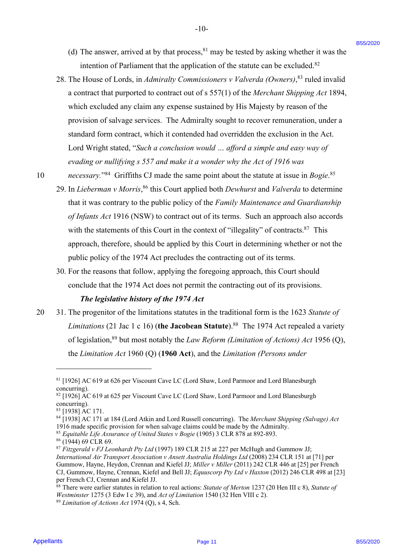(d) The answer, arrived at by that process,  $81$  may be tested by asking whether it was the intention of Parliament that the application of the statute can be excluded. $82$ 

-10- -10-

- 28. The House of Lords, in *Admiralty Commissioners v Valverda (Owners)*, <sup>83</sup> ruled invalid a contract that purported to contract out of s 557(1) of the *Merchant Shipping Act* 1894, <sup>a</sup> contract that purported to contract out of <sup>s</sup> 557(1) of the Merchant Shipping Act 1894, which excluded any claim any expense sustained by His Majesty by reason of the which excluded any claim any expense sustained by His Majesty by reason of the provision of salvage services. The Admiralty sought to recover remuneration, under a provision of salvage services. The Admiralty sought to recover remuneration, under <sup>a</sup> standard form contract, which it contended had overridden the exclusion in the Act. standard form contract, which it contended had overridden the exclusion in the Act. Lord Wright stated, "*Such a conclusion would … afford a simple and easy way of*  Lord Wright stated, "Such a conclusion would ... afford a simple and easy way of *evading or nullifying s 557 and make it a wonder why the Act of 1916 was*  evading or nullifying s 557 and make it a wonder why the Act of 1916 was (6) The answer, arrived at by that process,<sup>3</sup> may be tested by assing whether it was the<br>
neutrinos of Parkensis B5<sup>1</sup> (Consultation of the simulation in the scale data is a periodical consultation of the simulation of t
	-

10 necessary."<sup>84</sup> Griffiths CJ made the same point about the statute at issue in *Bogie*.<sup>85</sup>

- 29. In *Lieberman v Morris*,<sup>86</sup> this Court applied both *Dewhurst* and *Valverda* to determine that it was contrary to the public policy of the *Family Maintenance and Guardianship*  that it was contrary to the public policy of the Family Maintenance and Guardianship of Infants Act 1916 (NSW) to contract out of its terms. Such an approach also accords with the statements of this Court in the context of "illegality" of contracts.<sup>87</sup> This approach, therefore, should be applied by this Court in determining whether or not the approach, therefore, should be applied by this Court in determining whether or not the public policy of the 1974 Act precludes the contracting out of its terms. public policy of the 1974 Act precludes the contracting out of its terms.
- 30. For the reasons that follow, applying the foregoing approach, this Court should 30. For the reasons that follow, applying the foregoing approach, this Court should conclude that the 1974 Act does not permit the contracting out of its provisions. conclude that the 1974 Act does not permit the contracting out of its provisions.

# The legislative history of the 1974 Act

20 31. The progenitor of the limitations statutes in the traditional form is the 1623 *Statute of* 20 31. The progenitor of the limitations statutes in the traditional form is the 1623 Statute of Limitations (21 Jac 1 c 16) (the Jacobean Statute).<sup>88</sup> The 1974 Act repealed a variety of legislation,<sup>89</sup> but most notably the *Law Reform (Limitation of Actions) Act* 1956 (Q), the *Limitation Act* 1960 (Q) (**1960 Act**), and the *Limitation (Persons under* the Limitation Act 1960 (Q) (1960 Act), and the Limitation (Persons under

<sup>81</sup> [1926] AC 619 at 626 per Viscount Cave LC (Lord Shaw, Lord Parmoor and Lord Blanesburgh <sup>81</sup> [1926] AC 619 at 626 per Viscount Cave LC (Lord Shaw, Lord Parmoor and Lord Blanesburgh concurring). concurring).

<sup>82</sup> [1926] AC 619 at 625 per Viscount Cave LC (Lord Shaw, Lord Parmoor and Lord Blanesburgh <sup>82</sup> [1926] AC 619 at 625 per Viscount Cave LC (Lord Shaw, Lord Parmoor and Lord Blanesburgh concurring). concurring).

<sup>83 [1938]</sup> AC 171.

<sup>&</sup>lt;sup>84</sup> [1938] AC 171 at 184 (Lord Atkin and Lord Russell concurring). The Merchant Shipping (Salvage) Act 1916 made specific provision for when salvage claims could be made by the Admiralty. 1916 made specific provision for when salvage claims could be made by the Admiralty.

<sup>&</sup>lt;sup>85</sup> Equitable Life Assurance of United States v Bogie (1905) 3 CLR 878 at 892-893.

<sup>&</sup>lt;sup>86</sup> (1944) 69 CLR 69.

<sup>87</sup> *Fitzgerald v FJ Leonhardt Pty Ltd* (1997) 189 CLR 215 at 227 per McHugh and Gummow JJ; 87Fitzgerald v FJ Leonhardt Pty Ltd (1997) 189 CLR 215 at 227 per McHugh and Gummow JJ; *International Air Transport Association v Ansett Australia Holdings Ltd* (2008) 234 CLR 151 at [71] per International Air Transport Association v Ansett Australia Holdings Ltd (2008) 234 CLR <sup>151</sup> at [71] per Gummow, Hayne, Heydon, Crennan and Kiefel JJ; *Miller v Miller* (2011) 242 CLR 446 at [25] per French Gummow, Hayne, Heydon, Crennan and Kiefel JJ; Miller v Miller (2011) 242 CLR 446 at [25] per French CJ, Gummow, Hayne, Crennan, Kiefel and Bell JJ; *Equuscorp Pty Ltd v Haxton* (2012) 246 CLR 498 at [23] CJ, Gummow, Hayne, Crennan, Kiefel and Bell JJ; Equuscorp Pty Ltd v Haxton (2012) 246 CLR 498 at [23] per French CJ, Crennan and Kiefel JJ.

<sup>88</sup> There were earlier statutes in relation to real actions: Statute of Merton 1237 (20 Hen III c 8), Statute of *Westminster* 1275 (3 Edw I c 39), and *Act of Limitation* 1540 (32 Hen VIII c 2). <sup>89</sup> Limitation of Actions Act 1974 (Q), s 4, Sch.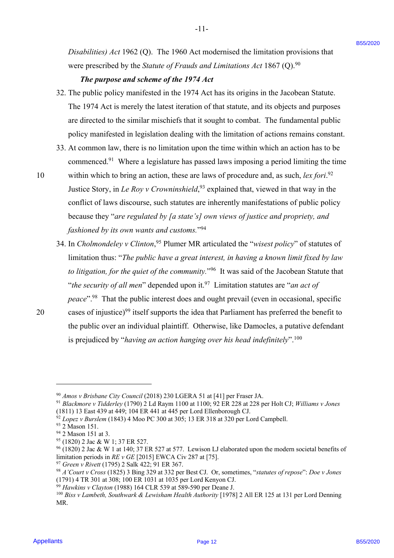Disabilities) Act 1962 (Q). The 1960 Act modernised the limitation provisions that were prescribed by the *Statute of Frauds and Limitations Act* 1867 (Q).<sup>90</sup>

 $-11-$ 

# *The purpose and scheme of the 1974 Act* The purpose and scheme ofthe <sup>1974</sup> Act

- 32. The public policy manifested in the 1974 Act has its origins in the Jacobean Statute. 32. The public policy manifested in the 1974 Act has its origins in the Jacobean Statute. The 1974 Act is merely the latest iteration of that statute, and its objects and purposes The 1974 Act is merely the latest iteration of that statute, and its objects and purposes are directed to the similar mischiefs that it sought to combat. The fundamental public are directed to the similar mischiefs that it sought to combat. The fundamental public policy manifested in legislation dealing with the limitation of actions remains constant. policy manifested in legislation dealing with the limitation of actions remains constant.
- 33. At common law, there is no limitation upon the time within which an action has to be 33. At common law, there is no limitation upon the time within which an action has to be commenced.<sup>91</sup> Where a legislature has passed laws imposing a period limiting the time
- 10 within which to bring an action, these are laws of procedure and, as such, *lex fori*.<sup>92</sup> Justice Story, in *Le Roy v Crowninshield*,<sup>93</sup> explained that, viewed in that way in the conflict of laws discourse, such statutes are inherently manifestations of public policy conflict of laws discourse, such statutes are inherently manifestations of public policy because they "are regulated by [a state's] own views of justice and propriety, and *fashioned by its own wants and customs.*"94 fashioned by its own wants and customs.""4 Distributed Jet 1960. (Q). The 1960 Act modernised the luminion provisions that<br>we represented by the Sonce of Frankland *Luislanton*. Jet 1867 (Q).<sup>22</sup><br>
The purpose and solvent of the 1974 Act<br>
S2. The pulse is solvent o
	- 34. In *Cholmondeley v Clinton*,<sup>95</sup> Plumer MR articulated the "*wisest policy*" of statutes of limitation thus: "The public have a great interest, in having a known limit fixed by law to litigation, for the quiet of the community."<sup>96</sup> It was said of the Jacobean Statute that "*the security of all men*" depended upon it.<sup>97</sup> Limitation statutes are "*an act of* peace".<sup>98</sup> That the public interest does and ought prevail (even in occasional, specific
- 

<sup>20</sup> cases of injustice)<sup>99</sup> itself supports the idea that Parliament has preferred the benefit to the public over an individual plaintiff. Otherwise, like Damocles, a putative defendant is prejudiced by "*having an action hanging over his head indefinitely*". 100 is prejudiced by "having an action hanging over his head indefinitely" .'°°

<sup>&</sup>lt;sup>90</sup> *Amos v Brisbane City Council* (2018) 230 LGERA 51 at [41] per Fraser JA.

<sup>91</sup> *Blackmore v Tidderley* (1790) 2 Ld Raym 1100 at 1100; 92 ER 228 at 228 per Holt CJ; *Williams v Jones*  °! Blackmore v Tidderley (1790) 2 Ld Raym 1100 at 1100; 92 ER 228 at 228 per Holt CJ; Williams v Jones (1811) 13 East 439 at 449; 104 ER 441 at 445 per Lord Ellenborough CJ. (1811) <sup>13</sup> East 439 at 449; 104 ER 441 at 445 per Lord Ellenborough CJ.

<sup>&</sup>lt;sup>92</sup> *Lopez v Burslem* (1843) 4 Moo PC 300 at 305; 13 ER 318 at 320 per Lord Campbell.

<sup>93 2</sup> Mason 151.

 $94$  2 Mason 151 at 3.

<sup>&</sup>lt;sup>95</sup> (1820) 2 Jac & W 1; 37 ER 527.

<sup>96</sup> (1820) 2 Jac & W 1 at 140; 37 ER 527 at 577. Lewison LJ elaborated upon the modern societal benefits of °© (1820) 2 Jac & W 1 at 140; 37 ER 527 at 577. Lewison LJ elaborated upon the modern societal benefits of limitation periods in *RE v GE* [2015] EWCA Civ 287 at [75].

<sup>&</sup>lt;sup>97</sup> Green v Rivett (1795) 2 Salk 422; 91 ER 367.

 $^{98}$  A'Court v Cross (1825) 3 Bing 329 at 332 per Best CJ. Or, sometimes, "statutes of repose": Doe v Jones (1791) 4 TR 301 at 308; 100 ER 1031 at 1035 per Lord Kenyon CJ. (1791) 4 TR 301 at 308; 100 ER 1031 at 1035 per Lord Kenyon CJ.

<sup>&</sup>lt;sup>99</sup> *Hawkins v Clayton* (1988) 164 CLR 539 at 589-590 per Deane J.

<sup>100</sup> *Biss v Lambeth, Southwark & Lewisham Health Authority* [1978] 2 All ER 125 at 131 per Lord Denning <sup>100</sup> Biss v Lambeth, Southwark & Lewisham Health Authority [1978] 2 All ER <sup>125</sup> at <sup>131</sup> per Lord Denning MR. MR.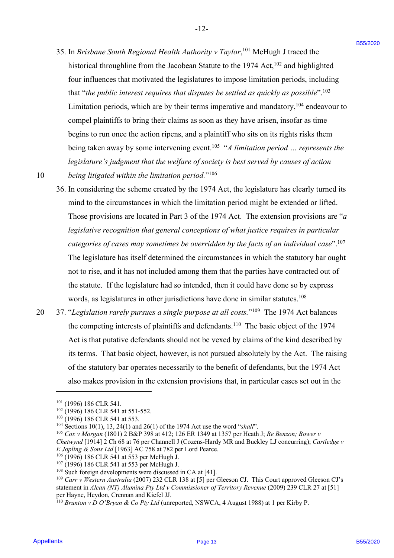35. In *Brisbane South Regional Health Authority v Taylor*,<sup>101</sup> McHugh J traced the historical throughline from the Jacobean Statute to the 1974 Act,<sup>102</sup> and highlighted four influences that motivated the legislatures to impose limitation periods, including four influences that motivated the legislatures to impose limitation periods, including that "the public interest requires that disputes be settled as quickly as possible".<sup>103</sup> Limitation periods, which are by their terms imperative and mandatory,<sup>104</sup> endeavour to compel plaintiffs to bring their claims as soon as they have arisen, insofar as time compel plaintiffs to bring their claims as soon as they have arisen, insofar as time begins to run once the action ripens, and a plaintiff who sits on its rights risks them begins to run once the action ripens, and a plaintiffwho sits on its rights risks them being taken away by some intervening event.<sup>105</sup> "A limitation period ... represents the legislature's judgment that the welfare of society is best served by causes of action

-12- -12-

10 being litigated within the limitation period."<sup>106</sup>

- 36. In considering the scheme created by the 1974 Act, the legislature has clearly turned its 36. In considering the scheme created by the 1974 Act, the legislature has clearly turned its mind to the circumstances in which the limitation period might be extended or lifted. mind to the circumstances in which the limitation period might be extended or lifted. Those provisions are located in Part 3 of the 1974 Act. The extension provisions are "*a* Those provisions are located in Part <sup>3</sup> of the 1974 Act. The extension provisions are "a legislative recognition that general conceptions of what justice requires in particular categories of cases may sometimes be overridden by the facts of an individual case".<sup>107</sup> The legislature has itself determined the circumstances in which the statutory bar ought The legislature has itself determined the circumstances in which the statutory bar ought not to rise, and it has not included among them that the parties have contracted out of the statute. If the legislature had so intended, then it could have done so by express the statute. If the legislature had so intended, then it could have done so by express words, as legislatures in other jurisdictions have done in similar statutes.<sup>108</sup> 35. In *Breisbane Stoath Regional Health Authority v* Teylor,<sup>14</sup> Mellaqk 1 reacted the material throughly for the like-the initial throughly for the like-the initial throughly for the like-the initial for the figure is t
- 20 37. "Legislation rarely pursues a single purpose at all costs."<sup>109</sup> The 1974 Act balances the competing interests of plaintiffs and defendants.<sup>110</sup> The basic object of the 1974 Act is that putative defendants should not be vexed by claims of the kind described by Act is that putative defendants should not be vexed by claims of the kind described by its terms. That basic object, however, is not pursued absolutely by the Act. The raising its terms. That basic object, however, is not pursued absolutely by the Act. The raising of the statutory bar operates necessarily to the benefit of defendants, but the 1974 Act also makes provision in the extension provisions that, in particular cases set out in the also makes provision in the extension provisions that, in particular cases set out in the

<sup>105</sup> Cox v Morgan (1801) 2 B&P 398 at 412; 126 ER 1349 at 1357 per Heath J; *Re Benzon; Bower v*<br>Chetwynd [1914] 2 Ch 68 at 76 per Channell J (Cozens-Hardy MR and Buckley LJ concurring); Cartledge v *E Jopling & Sons Ltd* [1963] AC 758 at 782 per Lord Pearce.

 $101$  (1996) 186 CLR 541.

<sup>&</sup>lt;sup>102</sup> (1996) 186 CLR 541 at 551-552.

<sup>&</sup>lt;sup>103</sup> (1996) 186 CLR 541 at 553.

 $104$  Sections 10(1), 13, 24(1) and 26(1) of the 1974 Act use the word "shall".

<sup>105</sup> *Cox v Morgan* (1801) 2 B&P 398 at 412; 126 ER 1349 at 1357 per Heath J; *Re Benzon; Bower v* 

<sup>&</sup>lt;sup>106</sup> (1996) 186 CLR 541 at 553 per McHugh J.

 $107$  (1996) 186 CLR 541 at 553 per McHugh J.

 $108$  Such foreign developments were discussed in CA at [41].

<sup>&</sup>lt;sup>109</sup> Carr v Western Australia (2007) 232 CLR 138 at [5] per Gleeson CJ. This Court approved Gleeson CJ's statement in *Alcan (NT) Alumina Pty Ltd v Commissioner of Territory Revenue* (2009) 239 CLR 27 at [51] per Hayne, Heydon, Crennan and Kiefel JJ. statement in *Alcan (NT) Alumina Pty Ltd v Commissioner of Territory Revenue* (2009) 239 CLR 27 at [51] per Hayne, Heydon, Crennan and Kiefel JJ.

<sup>110</sup> *Brunton v D O'Bryan & Co Pty Ltd* (unreported, NSWCA, 4 August 1988) at 1 per Kirby P. <sup>110</sup> Brunton v D O'Bryan & Co Pty Ltd (unreported, NSWCA, 4 August 1988) at 1 per Kirby P.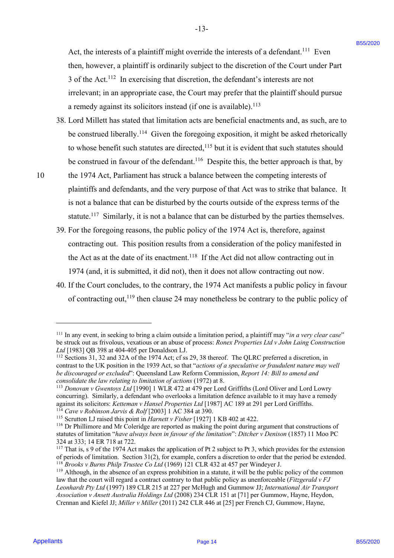Act, the interests of a plaintiff might override the interests of a defendant.<sup>111</sup> Even then, however, a plaintiff is ordinarily subject to the discretion of the Court under Part then, however, <sup>a</sup> plaintiff is ordinarily subject to the discretion of the Court under Part 3 of the Act.<sup>112</sup> In exercising that discretion, the defendant's interests are not

-13- -13-

irrelevant; in an appropriate case, the Court may prefer that the plaintiff should pursue irrelevant; in an appropriate case, the Court may prefer that the plaintiff should pursue a remedy against its solicitors instead (if one is available).<sup>113</sup>

38. Lord Millett has stated that limitation acts are beneficial enactments and, as such, are to 38. Lord Millett has stated that limitation acts are beneficial enactments and, as such, are to be construed liberally.<sup>114</sup> Given the foregoing exposition, it might be asked rhetorically to whose benefit such statutes are directed,  $115$  but it is evident that such statutes should be construed in favour of the defendant.<sup>116</sup> Despite this, the better approach is that, by Act, the interests of a plaintiff might overide the interests of a defendent.<sup>11</sup> Even<br>they become a plaintiff might is contrained by subject to the discontinue of the Cast units Particle interaction<br>of the Cast units are

10 the 1974 Act, Parliament has struck a balance between the competing interests of 10 the 1974 Act, Parliament has struck <sup>a</sup> balance between the competing interests of plaintiffs and defendants, and the very purpose of that Act was to strike that balance. It plaintiffs and defendants, and the very purpose of that Act was to strike that balance. It is not a balance that can be disturbed by the courts outside of the express terms of the is not <sup>a</sup> balance that can be disturbed by the courts outside of the express terms of the statute.<sup>117</sup> Similarly, it is not a balance that can be disturbed by the parties themselves.

- 39. For the foregoing reasons, the public policy of the 1974 Act is, therefore, against 39. For the foregoing reasons, the public policy of the 1974 Act is, therefore, against contracting out. This position results from a consideration of the policy manifested in contracting out. This position results from a consideration of the policy manifested in the Act as at the date of its enactment.<sup>118</sup> If the Act did not allow contracting out in 1974 (and, it is submitted, it did not), then it does not allow contracting out now.
- 1974 (and, it is submitted, it did not), then it does not allow contracting out now.<br>40. If the Court concludes, to the contrary, the 1974 Act manifests a public policy in favour of contracting out,<sup>119</sup> then clause 24 may nonetheless be contrary to the public policy of

<sup>&</sup>lt;sup>111</sup> In any event, in seeking to bring a claim outside a limitation period, a plaintiff may "in a very clear case" be struck out as frivolous, vexatious or an abuse of process: *Ronex Properties Ltd v John Laing Construction* be struck out as frivolous, vexatious or an abuse of process: Ronex Properties Ltd v John Laing Construction *Ltd* [1983] QB 398 at 404-405 per Donaldson LJ. Ltd [1983] QB 398 at 404-405 per Donaldson LJ.

<sup>&</sup>lt;sup>112</sup> Sections 31, 32 and 32A of the 1974 Act; cf ss 29, 38 thereof. The QLRC preferred a discretion, in contrast to the UK position in the 1939 Act, so that "*actions of a speculative or fraudulent nature may well be discouraged or excluded*": Queensland Law Reform Commission, *Report 14: Bill to amend and*  be discouraged or excluded': Queensland Law Reform Commission, Report 14: Bill to amend and*consolidate the law relating to limitation of actions* (1972) at 8.

<sup>113</sup> *Donovan v Gwentoys Ltd* [1990] 1 WLR 472 at 479 per Lord Griffiths (Lord Oliver and Lord Lowry 3 Donovan <sup>v</sup> Gwentoys Ltd [1990] <sup>1</sup> WLR <sup>472</sup> at <sup>479</sup> per Lord Griffiths (Lord Oliver and Lord Lowry concurring). Similarly, a defendant who overlooks a limitation defence available to it may have a remedy concurring). Similarly, a defendant who overlooks a limitation defence available to it may have a remedy against its solicitors: *Ketteman v Hansel Properties Ltd* [1987] AC 189 at 291 per Lord Griffiths. <sup>114</sup> *Cave v Robinson Jarvis & Rolf* [2003] 1 AC 384 at 390.

<sup>&</sup>lt;sup>115</sup> Scrutton LJ raised this point in *Harnett v Fisher* [1927] 1 KB 402 at 422.

<sup>116</sup> Dr Phillimore and Mr Coleridge are reported as making the point during argument that constructions of '16 Dr Phillimore and Mr Coleridge are reported as making the point during argument that constructions of statutes of limitation "have always been in favour of the limitation": Ditcher v Denison (1857) 11 Moo PC 324 at 333; 14 ER 718 at 722. 324 at 333; 14 ER 718 at 722.

<sup>&</sup>lt;sup>117</sup> That is, s 9 of the 1974 Act makes the application of Pt 2 subject to Pt 3, which provides for the extension of periods of limitation. Section 31(2), for example, confers a discretion to order that the period be extended. <sup>118</sup> Brooks v Burns Philp Trustee Co Ltd (1969) 121 CLR 432 at 457 per Windeyer J.

 $119$  Although, in the absence of an express prohibition in a statute, it will be the public policy of the common law that the court will regard a contract contrary to that public policy as unenforceable (Fitzgerald v FJ *Leonhardt Pty Ltd* (1997) 189 CLR 215 at 227 per McHugh and Gummow JJ; *International Air Transport*  Leonhardt Pty Ltd (1997) 189 CLR 215 at 227 per McHugh and Gummow JJ; International Air Transport *Association v Ansett Australia Holdings Ltd* (2008) 234 CLR 151 at [71] per Gummow, Hayne, Heydon, Association v Ansett Australia Holdings Ltd (2008) 234 CLR 151 at [71] per Gummow, Hayne, Heydon, Crennan and Kiefel JJ; *Miller v Miller* (2011) 242 CLR 446 at [25] per French CJ, Gummow, Hayne, Crennan and Kiefel JJ; Miller v Miller (2011) 242 CLR 446 at [25] per French CJ, Gummow, Hayne,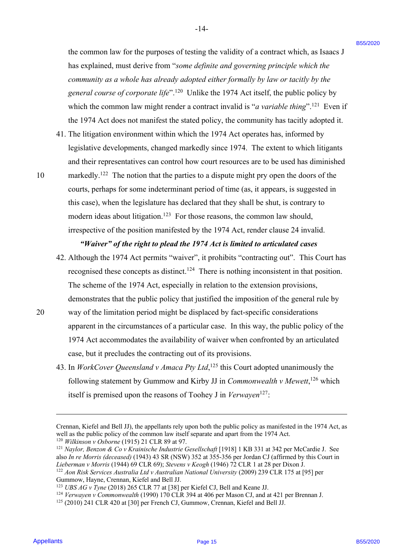the common law for the purposes of testing the validity of a contract which, as Isaacs J the common law for the purposes of testing the validity of <sup>a</sup> contract which, as Isaacs <sup>J</sup> has explained, must derive from "*some definite and governing principle which the*  has explained, must derive from "some definite and governing principle which the community as a whole has already adopted either formally by law or tacitly by the general course of corporate life".<sup>120</sup> Unlike the 1974 Act itself, the public policy by which the common law might render a contract invalid is "*a variable thing*".<sup>121</sup> Even if the 1974 Act does not manifest the stated policy, the community has tacitly adopted it. the 1974 Act does not manifest the stated policy, the community has tacitly adopted it.

- 41. The litigation environment within which the 1974 Act operates has, informed by 41. The litigation environment within which the 1974 Act operates has, informed by legislative developments, changed markedly since 1974. The extent to which litigants legislative developments, changed markedly since 1974. The extent to which litigants and their representatives can control how court resources are to be used has diminished and their representatives can control how court resources are to be used has diminished
- 
- 10 markedly.<sup>122</sup> The notion that the parties to a dispute might pry open the doors of the courts, perhaps for some indeterminant period of time (as, it appears, is suggested in this case), when the legislature has declared that they shall be shut, is contrary to this case), when the legislature has declared that they shall be shut, is contrary to modern ideas about litigation.<sup>123</sup> For those reasons, the common law should, irrespective of the position manifested by the 1974 Act, render clause 24 invalid. irrespective of the position manifested by the 1974 Act, render clause 24 invalid. the continuo law for the purposes of restring the validity of a continue which, as lances I<br>has a photometric function different from "one including the mean of the properties which the continuous properties which the con

# *"Waiver" of the right to plead the 1974 Act is limited to articulated cases* "Waiver" of the right to plead the 1974 Act is limited to articulated cases 42. Although the 1974 Act permits "waiver", it prohibits "contracting out". This Court has 42. Although the 1974 Act permits "waiver", it prohibits "contracting out". This Court has

- recognised these concepts as distinct.<sup>124</sup> There is nothing inconsistent in that position. The scheme of the 1974 Act, especially in relation to the extension provisions, The scheme of the 1974 Act, especially in relation to the extension provisions, demonstrates that the public policy that justified the imposition of the general rule by demonstrates that the public policy that justified the imposition of the general rule by
- 20 way of the limitation period might be displaced by fact-specific considerations 20 way of the limitation period might be displaced by fact-specific considerations apparent in the circumstances of a particular case. In this way, the public policy of the apparent in the circumstances of a particular case. In this way, the public policy of the 1974 Act accommodates the availability of waiver when confronted by an articulated 1974 Act accommodates the availability of waiver when confronted by an articulated case, but it precludes the contracting out of its provisions. case, but it precludes the contracting out of its provisions.
	- 43. In *WorkCover Queensland v Amaca Pty Ltd*,<sup>125</sup> this Court adopted unanimously the following statement by Gummow and Kirby JJ in *Commonwealth v Mewett*,<sup>126</sup> which itself is premised upon the reasons of Toohey J in *Verwayen*<sup>127</sup>:

<sup>120</sup> *Wilkinson v Osborne* (1915) 21 CLR 89 at 97. <sup>120</sup> Wilkinson v Osborne (1915) 21 CLR 89 at 97.

Crennan, Kiefel and Bell JJ), the appellants rely upon both the public policy as manifested in the 1974 Act, as Crennan, Kiefel and Bell JJ), the appellants rely upon both the public policy as manifested in the 1974 Act, as well as the public policy of the common law itself separate and apart from the 1974 Act.

<sup>&</sup>lt;sup>121</sup> Naylor, Benzon & Co v Krainische Industrie Gesellschaft [1918] 1 KB 331 at 342 per McCardie J. See also In re Morris (deceased) (1943) 43 SR (NSW) 352 at 355-356 per Jordan CJ (affirmed by this Court in *Lieberman v Morris* (1944) 69 CLR 69); *Stevens v Keogh* (1946) 72 CLR 1 at 28 per Dixon J. Lieberman v Morris (1944) 69 CLR 69); Stevens v Keogh (1946) 72 CLR | at 28 per Dixon J.

<sup>&</sup>lt;sup>122</sup> Aon Risk Services Australia Ltd v Australian National University (2009) 239 CLR 175 at [95] per Gummow, Hayne, Crennan, Kiefel and Bell JJ.

<sup>&</sup>lt;sup>123</sup> *UBS AG v Tyne* (2018) 265 CLR 77 at [38] per Kiefel CJ, Bell and Keane JJ.

<sup>&</sup>lt;sup>124</sup> *Verwayen v Commonwealth* (1990) 170 CLR 394 at 406 per Mason CJ, and at 421 per Brennan J.

<sup>125</sup> (2010) 241 CLR 420 at [30] per French CJ, Gummow, Crennan, Kiefel and Bell JJ. !25 (2010) 241 CLR 420 at [30] per French CJ, Gummow, Crennan, Kiefel and Bell JJ.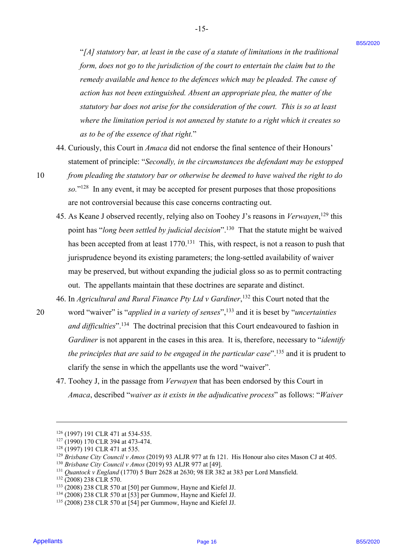"[A] statutory bar, at least in the case of a statute of limitations in the traditional form, does not go to the jurisdiction of the court to entertain the claim but to the remedy available and hence to the defences which may be pleaded. The cause of action has not been extinguished. Absent an appropriate plea, the matter of the *statutory bar does not arise for the consideration of the court. This is so at least* statutory bar does not arise for the consideration of the court. This is so at least where the limitation period is not annexed by statute to a right which it creates so<br>as to be of the essence of that right." *as to be of the essence of that right.*" <sup>2</sup>(*Af standory bar, at least in the case of a stander of finding bar, the transitional*<br> *from down sign on the line of a stander of the convertise only as following the case of the sign base in the case of<br>
renewly* 

-15- -15-

- 44. Curiously, this Court in *Amaca* did not endorse the final sentence of their Honours' 44. Curiously, this Court in Amaca did not endorse the final sentence of their Honours' statement of principle: "*Secondly, in the circumstances the defendant may be estopped*  statement of principle: "Secondly, in the circumstances the defendant may be estopped
- 10 from pleading the statutory bar or otherwise be deemed to have waived the right to do so."<sup>128</sup> In any event, it may be accepted for present purposes that those propositions are not controversial because this case concerns contracting out. are not controversial because this case concerns contracting out.
	- 45. As Keane J observed recently, relying also on Toohey J's reasons in *Verwayen*,<sup>129</sup> this point has "long been settled by *judicial decision*".<sup>130</sup> That the statute might be waived has been accepted from at least 1770.<sup>131</sup> This, with respect, is not a reason to push that jurisprudence beyond its existing parameters; the long-settled availability of waiver jurisprudence beyond its existing parameters; the long-settled availability of waiver may be preserved, but without expanding the judicial gloss so as to permit contracting may be preserved, but without expanding the judicial gloss so as to permit contracting out. The appellants maintain that these doctrines are separate and distinct.
	- 46. In *Agricultural and Rural Finance Pty Ltd v Gardiner*,<sup>132</sup> this Court noted that the
- 20 word "waiver" is "*applied in a variety of senses*",<sup>133</sup> and it is beset by "*uncertainties* and difficulties".<sup>134</sup> The doctrinal precision that this Court endeavoured to fashion in *Gardiner* is not apparent in the cases in this area. It is, therefore, necessary to "*identify*  Gardiner is not apparent in the cases in this area. It is, therefore, necessary to "identify *the principles that are said to be engaged in the particular case".<sup>135</sup> and it is prudent to* clarify the sense in which the appellants use the word "waiver". clarify the sense in which the appellants use the word "waiver".
	- 47. Toohey J, in the passage from *Verwayen* that has been endorsed by this Court in *Amaca*, described "*waiver as it exists in the adjudicative process*" as follows: "*Waiver* Amaca, described "waiver as it exists in the adjudicative process" as follows: "Waiver

<sup>&</sup>lt;sup>126</sup> (1997) 191 CLR 471 at 534-535.

<sup>&</sup>lt;sup>127</sup> (1990) 170 CLR 394 at 473-474.

<sup>&</sup>lt;sup>128</sup> (1997) 191 CLR 471 at 535.

<sup>&</sup>lt;sup>129</sup> Brisbane City Council v Amos (2019) 93 ALJR 977 at fn 121. His Honour also cites Mason CJ at 405.

<sup>&</sup>lt;sup>130</sup> *Brisbane City Council v Amos* (2019) 93 ALJR 977 at [49].

<sup>&</sup>lt;sup>131</sup> Quantock v England (1770) 5 Burr 2628 at 2630; 98 ER 382 at 383 per Lord Mansfield.

<sup>132</sup> (2008) 238 CLR 570. <sup>132</sup> (2008) 238 CLR 570.

<sup>&</sup>lt;sup>133</sup> (2008) 238 CLR 570 at [50] per Gummow, Hayne and Kiefel JJ.

 $134$  (2008) 238 CLR 570 at [53] per Gummow, Hayne and Kiefel JJ.

<sup>135</sup> (2008) 238 CLR 570 at [54] per Gummow, Hayne and Kiefel JJ. '35 (2008) 238 CLR 570 at [54] per Gummow, Hayne and Kiefel JJ.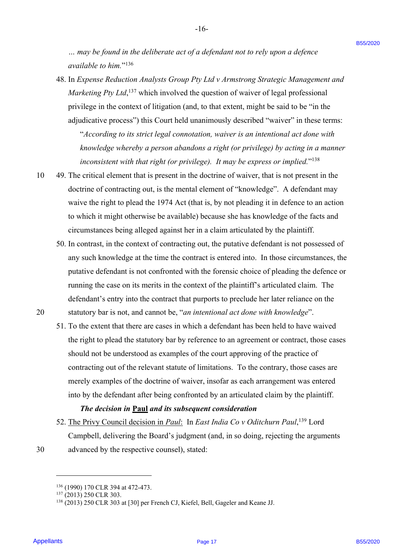... may be found in the deliberate act of a defendant not to rely upon a defence available to him."<sup>136</sup>

-16- -16-

- 48. In *Expense Reduction Analysts Group Pty Ltd v Armstrong Strategic Management and*  48. In Expense Reduction Analysts Group Pty Ltd v Armstrong Strategic Management and Marketing Pty Ltd,<sup>137</sup> which involved the question of waiver of legal professional privilege in the context of litigation (and, to that extent, might be said to be "in the privilege in the context of litigation (and, to that extent, might be said to be "'in the adjudicative process") this Court held unanimously described "waiver" in these terms: adjudicative process'') this Court held unanimously described "waiver" in these terms: "*According to its strict legal connotation, waiver is an intentional act done with*  "According to its strict legal connotation, waiver is an intentional act done with knowledge whereby a person abandons a right (or privilege) by acting in a manner inconsistent with that right (or privilege). It may be express or implied."<sup>138</sup> ... may be found in the defiberate act of a definiter not to the measure actions a defined in the action of the system of a system of the system of the big measure Robinston aholysis Group Pry Let  $\alpha$  Amatomg Strategic M
- 10 49. The critical element that is present in the doctrine of waiver, that is not present in the doctrine of contracting out, is the mental element of "knowledge". A defendant may doctrine of contracting out, is the mental element of "knowledge". A defendant may waive the right to plead the 1974 Act (that is, by not pleading it in defence to an action waive the right to plead the 1974 Act (that is, by not pleading it in defence to an action to which it might otherwise be available) because she has knowledge of the facts and to which it might otherwise be available) because she has knowledge of the facts and circumstances being alleged against her in a claim articulated by the plaintiff. circumstances being alleged against her in <sup>a</sup> claim articulated by the plaintiff.
	- 50. In contrast, in the context of contracting out, the putative defendant is not possessed of 50. In contrast, in the context of contracting out, the putative defendant is not possessed ofany such knowledge at the time the contract is entered into. In those circumstances, the any such knowledge at the time the contract is entered into. In those circumstances, the putative defendant is not confronted with the forensic choice of pleading the defence or running the case on its merits in the context of the plaintiff's articulated claim. The defendant's entry into the contract that purports to preclude her later reliance on the defendant's entry into the contract that purports to preclude her later reliance on the
- 20 statutory bar is not, and cannot be, "*an intentional act done with knowledge*". 20 statutory bar is not, and cannot be,"'an intentional act done with knowledge".
	- 51. To the extent that there are cases in which a defendant has been held to have waived 51. To the extent that there are cases in which <sup>a</sup> defendant has been held to have waived the right to plead the statutory bar by reference to an agreement or contract, those cases the right to plead the statutory bar by reference to an agreement or contract, those cases should not be understood as examples of the court approving of the practice of should not be understood as examples of the court approving of the practice of contracting out of the relevant statute of limitations. To the contrary, those cases are contracting out of the relevant statute of limitations. To the contrary, those cases are merely examples of the doctrine of waiver, insofar as each arrangement was entered merely examples of the doctrine of waiver, insofar as each arrangement was entered into by the defendant after being confronted by an articulated claim by the plaintiff. into by the defendant after being confronted by an articulated claim by the plaintiff.

## *The decision in* **Paul** *and its subsequent consideration* The decision in Paul and its subsequent consideration

52. The Privy Council decision in *Paul*: In *East India Co v Oditchurn Paul*,<sup>139</sup> Lord Campbell, delivering the Board's judgment (and, in so doing, rejecting the arguments Campbell, delivering the Board's judgment (and, in so doing, rejecting the arguments 30 advanced by the respective counsel), stated: 30 advanced by the respective counsel), stated:

<sup>136 (1990) 170</sup> CLR 394 at 472-473.

<sup>&</sup>lt;sup>137</sup> (2013) 250 CLR 303.

<sup>138</sup> (2013) 250 CLR 303 at [30] per French CJ, Kiefel, Bell, Gageler and Keane JJ. <sup>138</sup> (2013) 250 CLR 303 at [30] per French CJ, Kiefel, Bell, Gageler and Keane JJ.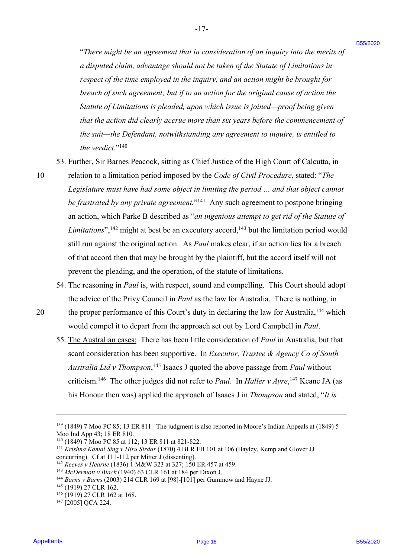"*There might be an agreement that in consideration of an inquiry into the merits of*  "There might be an agreement that in consideration of an inquiry into the merits of *a disputed claim, advantage should not be taken of the Statute of Limitations in*  a disputed claim, advantage should not be taken ofthe Statute ofLimitations in respect of the time employed in the inquiry, and an action might be brought for breach of such agreement; but if to an action for the original cause of action the *Statute of Limitations is pleaded, upon which issue is joined—proof being given*  Statute ofLimitations is pleaded, upon which issue is joined—proof being given *that the action did clearly accrue more than six years before the commencement of* that the action did clearly accrue more than six years before the commencement of *the suit—the Defendant, notwithstanding any agreement to inquire, is entitled to*  the suit—the Defendant, notwithstanding any agreement to inquire, is entitled to the verdict."<sup>140</sup>

53. Further, Sir Barnes Peacock, sitting as Chief Justice of the High Court of Calcutta, in 53. Further, Sir Barnes Peacock, sitting as Chief Justice of the High Court of Calcutta, in

- 10 relation to a limitation period imposed by the *Code of Civil Procedure*, stated: "*The*  <sup>10</sup> relation to a limitation period imposed by the Code of Civil Procedure, stated: "The Legislature must have had some object in limiting the period ... and that object cannot be frustrated by any private agreement."<sup>141</sup> Any such agreement to postpone bringing an action, which Parke B described as "*an ingenious attempt to get rid of the Statute of*  an action, which Parke B described as "an ingenious attempt to get rid ofthe Statute of Limitations",<sup>142</sup> might at best be an executory accord,<sup>143</sup> but the limitation period would still run against the original action. As *Paul* makes clear, if an action lies for a breach still run against the original action. As Paul makes clear, if an action lies for <sup>a</sup> breach of that accord then that may be brought by the plaintiff, but the accord itself will not of that accord then that may be brought by the plaintiff, but the accord itself will not prevent the pleading, and the operation, of the statute of limitations. prevent the pleading, and the operation, of the statute of limitations. "There might be an agreement that to consideration of on inquiry two the mertis of<br>
a discussion of them, and using the shell as the last of the biasing of the biasing (Figures) is the discussion of the signary and an act
	- 54. The reasoning in *Paul* is, with respect, sound and compelling. This Court should adopt 54. The reasoning in Paul is, with respect, sound and compelling. This Court should adopt the advice of the Privy Council in *Paul* as the law for Australia. There is nothing, in the advice of the Privy Council in Paul as the law for Australia. There is nothing, in
- 20 the proper performance of this Court's duty in declaring the law for Australia,<sup>144</sup> which would compel it to depart from the approach set out by Lord Campbell in *Paul*. would compel it to depart from the approach set out by Lord Campbell in Paul.
	- 55. The Australian cases: There has been little consideration of *Paul* in Australia, but that 55. The Australian cases: There has been little consideration of Paul in Australia, but that scant consideration has been supportive. In *Executor, Trustee & Agency Co of South*  scant consideration has been supportive. In Executor, Trustee & Agency Co of South Australia Ltd v Thompson,<sup>145</sup> Isaacs J quoted the above passage from *Paul* without criticism.<sup>146</sup> The other judges did not refer to *Paul*. In *Haller v Ayre*,<sup>147</sup> Keane JA (as his Honour then was) applied the approach of Isaacs J in *Thompson* and stated, "*It is*  his Honour then was) applied the approach of Isaacs <sup>J</sup> in Thompson and stated, "It is

<sup>139</sup> (1849) 7 Moo PC 85; 13 ER 811. The judgment is also reported in Moore's Indian Appeals at (1849) 5 <sup>139</sup> (1849) 7 Moo PC 85; <sup>13</sup> ER 811. The judgment is also reported in Moore's Indian Appeals at (1849) <sup>5</sup> Moo Ind App 43; 18 ER 810.

<sup>&</sup>lt;sup>140</sup> (1849) 7 Moo PC 85 at 112; 13 ER 811 at 821-822.

<sup>&</sup>lt;sup>141</sup> Krishna Kamal Sing v Hiru Sirdar (1870) 4 BLR FB 101 at 106 (Bayley, Kemp and Glover JJ concurring). Cf at 111-112 per Mitter J (dissenting).

<sup>&</sup>lt;sup>142</sup> *Reeves v Hearne* (1836) 1 M&W 323 at 327; 150 ER 457 at 459.

<sup>&</sup>lt;sup>143</sup> *McDermott v Black* (1940) 63 CLR 161 at 184 per Dixon J.

<sup>&</sup>lt;sup>144</sup> *Barns v Barns* (2003) 214 CLR 169 at [98]-[101] per Gummow and Hayne JJ.<br><sup>145</sup> (1919) 27 CLR 162.<br><sup>146</sup> (1919) 27 CLR 1*6*2.

<sup>145</sup> (1919) 27 CLR 162.

<sup>&</sup>lt;sup>146</sup> (1919) 27 CLR 162 at 168.

 $147$  [2005] QCA 224.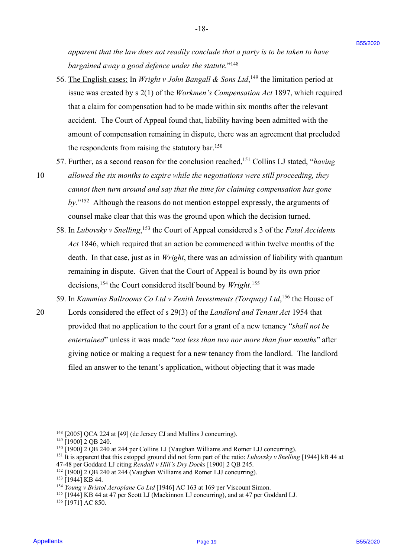*apparent that the law does not readily conclude that a party is to be taken to have*  apparent that the law does not readily conclude that a party is to be taken to have bargained away a good defence under the statute."<sup>148</sup>

-18- -18-

- 56. The English cases: In *Wright v John Bangall & Sons Ltd*,<sup>149</sup> the limitation period at issue was created by s 2(1) of the Workmen's Compensation Act 1897, which required that a claim for compensation had to be made within six months after the relevant that a claim for compensation had to be made within six months after the relevant accident. The Court of Appeal found that, liability having been admitted with the accident. The Court of Appeal found that, liability having been admitted with the amount of compensation remaining in dispute, there was an agreement that precluded amount of compensation remaining in dispute, there was an agreement that precluded the respondents from raising the statutory bar.<sup>150</sup> appearent that the law interest one treation of the particular of the state is the state of the state of the state of the state of the state of the state of the state of the state of the state of the state of the state of
	- 57. Further, as a second reason for the conclusion reached,<sup>151</sup> Collins LJ stated, "*having*
- 10 allowed the six months to expire while the negotiations were still proceeding, they *cannot then turn around and say that the time for claiming compensation has gone*  cannot then turn around and say that the time for claiming compensation has gone by."<sup>152</sup> Although the reasons do not mention estoppel expressly, the arguments of counsel make clear that this was the ground upon which the decision turned. counsel make clear that this was the ground upon which the decision turned.
	- 58. In *Lubovsky v Snelling*,<sup>153</sup> the Court of Appeal considered s 3 of the *Fatal Accidents Act* 1846, which required that an action be commenced within twelve months of the Act 1846, which required that an action be commenced within twelve months of the death. In that case, just as in *Wright*, there was an admission of liability with quantum death. In that case, just as in Wright, there was an admission of liability with quantum remaining in dispute. Given that the Court of Appeal is bound by its own prior decisions,<sup>154</sup> the Court considered itself bound by *Wright*.<sup>155</sup>
	- 59. In *Kammins Ballrooms Co Ltd v Zenith Investments (Torquay) Ltd*,<sup>156</sup> the House of
- 20 Lords considered the effect of s 29(3) of the *Landlord and Tenant Act* 1954 that 20 Lords considered the effect of <sup>s</sup> 29(3) of the Landlord and Tenant Act 1954 that provided that no application to the court for a grant of a new tenancy "*shall not be*  provided that no application to the court for <sup>a</sup> grant of <sup>a</sup> new tenancy "shall not be entertained" unless it was made "not less than two nor more than four months" after giving notice or making a request for a new tenancy from the landlord. The landlord giving notice or making a request for <sup>a</sup> new tenancy from the landlord. The landlord filed an answer to the tenant's application, without objecting that it was made filed an answer to the tenant's application, without objecting that it was made

 $148$  [2005] QCA 224 at [49] (de Jersey CJ and Mullins J concurring).

<sup>&</sup>lt;sup>149</sup> [1900] 2 QB 240.

<sup>&</sup>lt;sup>150</sup> [1900] 2 QB 240 at 244 per Collins LJ (Vaughan Williams and Romer LJJ concurring).

<sup>&</sup>lt;sup>151</sup> It is apparent that this estoppel ground did not form part of the ratio: *Lubovsky v Snelling* [1944] kB 44 at

<sup>47-48</sup> per Goddard LJ citing *Rendall v Hill's Dry Docks* [1900] 2 QB 245. 47-48 per Goddard LJ citing Rendall v Hill's Dry Docks [1900] 2 QB 245.

 $152$  [1900] 2 QB 240 at 244 (Vaughan Williams and Romer LJJ concurring).

<sup>&</sup>lt;sup>153</sup> [1944] KB 44.

<sup>&</sup>lt;sup>154</sup> *Young v Bristol Aeroplane Co Ltd* [1946] AC 163 at 169 per Viscount Simon.

<sup>&</sup>lt;sup>155</sup> [1944] KB 44 at 47 per Scott LJ (Mackinnon LJ concurring), and at 47 per Goddard LJ.

<sup>&</sup>lt;sup>156</sup> [1971] AC 850.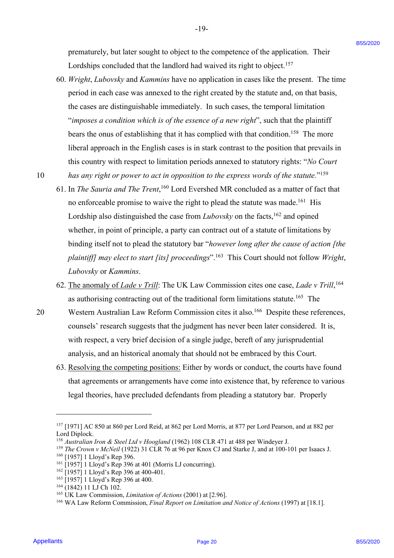-19- -19-

prematurely, but later sought to object to the competence of the application. Their prematurely, but later sought to object to the competence of the application.Their Lordships concluded that the landlord had waived its right to object.<sup>157</sup>

60. *Wright*, *Lubovsky* and *Kammins* have no application in cases like the present. The time 60. Wright, Lubovsky and Kammins have no application in cases like the present. The time period in each case was annexed to the right created by the statute and, on that basis, period in each case was annexed to the right created by the statute and, on that basis, the cases are distinguishable immediately. In such cases, the temporal limitation the cases are distinguishable immediately. In such cases, the temporal limitation "*imposes a condition which is of the essence of a new right*", such that the plaintiff bears the onus of establishing that it has complied with that condition.<sup>158</sup> The more liberal approach in the English cases is in stark contrast to the position that prevails in liberal approach in the English cases is in stark contrast to the position that prevails in this country with respect to limitation periods annexed to statutory rights: "*No Court*  this country with respect to limitation periods annexed to statutory rights: "No Court

10 has any right or power to act in opposition to the express words of the statute."<sup>159</sup>

- 61. In *The Sauria and The Trent*,<sup>160</sup> Lord Evershed MR concluded as a matter of fact that no enforceable promise to waive the right to plead the statute was made.<sup>161</sup> His Lordship also distinguished the case from *Lubovsky* on the facts,<sup>162</sup> and opined whether, in point of principle, a party can contract out of a statute of limitations by whether, in point of principle, a party can contract out of a statute of limitations by binding itself not to plead the statutory bar "however long after the cause of action [the plaintiff] may elect to start [its] proceedings".<sup>163</sup> This Court should not follow Wright, *Lubovsky* or *Kammins*. Lubovsky or Kammins.pennaturely, but there sought to object to the completence of the application. Their<br>
Localysing considered into the baselent track wave all  $\alpha$  in the solution<br>  $0$ . Wright, Loboraty and Korowota law to application in c
	- 62. The anomaly of *Lade v Trill*: The UK Law Commission cites one case, *Lade v Trill*,<sup>164</sup> as authorising contracting out of the traditional form limitations statute.<sup>165</sup> The
- 20 Western Australian Law Reform Commission cites it also.<sup>166</sup> Despite these references, counsels' research suggests that the judgment has never been later considered. It is, counsels' research suggests that the judgment has never been later considered. It is, with respect, a very brief decision of a single judge, bereft of any jurisprudential with respect, <sup>a</sup> very brief decision of <sup>a</sup> single judge, bereft of any jurisprudential analysis, and an historical anomaly that should not be embraced by this Court. analysis, and an historical anomaly that should not be embraced by this Court.
	- 63. Resolving the competing positions: Either by words or conduct, the courts have found 63. Resolving the competing positions: Either by words or conduct, the courts have found that agreements or arrangements have come into existence that, by reference to various that agreements or arrangements have come into existence that, by reference to various legal theories, have precluded defendants from pleading a statutory bar. Properly legal theories, have precluded defendants from pleading <sup>a</sup> statutory bar. Properly

<sup>&</sup>lt;sup>157</sup> [1971] AC 850 at 860 per Lord Reid, at 862 per Lord Morris, at 877 per Lord Pearson, and at 882 per Lord Diplock. Lord Diplock.

<sup>&</sup>lt;sup>158</sup> Australian Iron & Steel Ltd v Hoogland (1962) 108 CLR 471 at 488 per Windeyer J.

<sup>&</sup>lt;sup>159</sup> *The Crown v McNeil* (1922) 31 CLR 76 at 96 per Knox CJ and Starke J, and at 100-101 per Isaacs J.

<sup>&</sup>lt;sup>160</sup> [1957] 1 Lloyd's Rep 396.

 $161$  [1957] 1 Lloyd's Rep 396 at 401 (Morris LJ concurring).

 $162$  [1957] 1 Lloyd's Rep 396 at 400-401.

<sup>&</sup>lt;sup>163</sup> [1957] 1 Lloyd's Rep 396 at 400.

<sup>164 (1842) 11</sup> LJ Ch 102.

<sup>&</sup>lt;sup>165</sup> UK Law Commission, *Limitation of Actions* (2001) at [2.96].

<sup>&</sup>lt;sup>166</sup> WA Law Reform Commission, *Final Report on Limitation and Notice of Actions* (1997) at [18.1].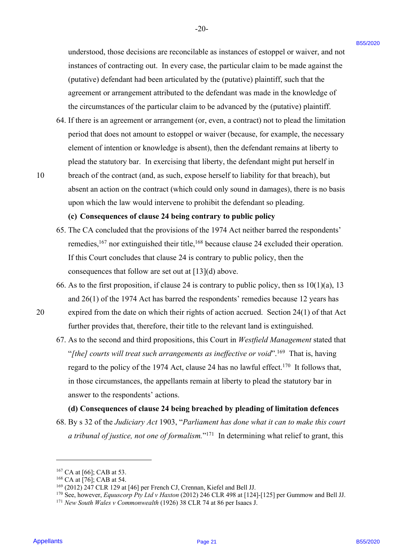understood, those decisions are reconcilable as instances of estoppel or waiver, and not instances of contracting out. In every case, the particular claim to be made against the instances of contracting out. In every case, the particular claim to be made against the (putative) defendant had been articulated by the (putative) plaintiff, such that the (putative) defendant had been articulated by the (putative) plaintiff, such that the agreement or arrangement attributed to the defendant was made in the knowledge of agreement or arrangement attributed to the defendant was made in the knowledge ofthe circumstances of the particular claim to be advanced by the (putative) plaintiff. the circumstances of the particular claim to be advanced by the (putative) plaintiff.

- 64. If there is an agreement or arrangement (or, even, a contract) not to plead the limitation 64. If there is an agreement or arrangement (or, even, <sup>a</sup> contract) not to plead the limitation period that does not amount to estoppel or waiver (because, for example, the necessary period that does not amount to estoppel or waiver (because, for example, the necessary element of intention or knowledge is absent), then the defendant remains at liberty to element of intention or knowledge is absent), then the defendant remains at liberty to plead the statutory bar. In exercising that liberty, the defendant might put herself in plead the statutory bar. In exercising that liberty, the defendant might put herself in
- 10 breach of the contract (and, as such, expose herself to liability for that breach), but absent an action on the contract (which could only sound in damages), there is no basis absent an action on the contract (which could only sound in damages), there is no basis upon which the law would intervene to prohibit the defendant so pleading. upon which the law would intervene to prohibit the defendant so pleading.

#### **(c) Consequences of clause 24 being contrary to public policy** (c) Consequences of clause 24 being contrary to public policy

- 65. The CA concluded that the provisions of the 1974 Act neither barred the respondents' 65. The CA concluded that the provisions of the 1974 Act neither barred the respondents' remedies,<sup>167</sup> nor extinguished their title,<sup>168</sup> because clause 24 excluded their operation. If this Court concludes that clause 24 is contrary to public policy, then the If this Court concludes that clause <sup>24</sup> is contrary to public policy, then the consequences that follow are set out at [13](d) above. consequences that follow are set out at [13](d) above.
- 66. As to the first proposition, if clause 24 is contrary to public policy, then ss  $10(1)(a)$ , 13 and 26(1) of the 1974 Act has barred the respondents' remedies because 12 years has and 26(1) of the 1974 Act has barred the respondents' remedies because 12 years has
- 20 expired from the date on which their rights of action accrued. Section 24(1) of that Act 20 expired from the date on which their rights of action accrued. Section 24(1) of that Act further provides that, therefore, their title to the relevant land is extinguished. further provides that, therefore, their title to the relevant land is extinguished.
- 67. As to the second and third propositions, this Court in *Westfield Management* stated that 67. As to the second and third propositions, this Court in Westfield Management stated that "[the] courts will treat such arrangements as ineffective or void".<sup>169</sup> That is, having regard to the policy of the 1974 Act, clause 24 has no lawful effect.<sup>170</sup> It follows that, in those circumstances, the appellants remain at liberty to plead the statutory bar in in those circumstances, the appellants remain at liberty to plead the statutory bar in answer to the respondents' actions. answer to the respondents' actions. anderstood, those decisions are reconsiblele as instances of estoppel or writer, and not<br>instance of contracting pati. In every use, the particular elation is be rank applied to the particular particular in the magnitude

#### **(d) Consequences of clause 24 being breached by pleading of limitation defences** (d) Consequences of clause 24 being breached by pleading of limitation defences

68. By s 32 of the *Judiciary Act* 1903, "*Parliament has done what it can to make this court* 68. By <sup>s</sup> 32 of the Judiciary Act 1903, "Parliament has done what it can to make this court a tribunal of justice, not one of formalism."<sup>171</sup> In determining what relief to grant, this

 $167$  CA at [66]; CAB at 53.

 $168$  CA at [76]; CAB at 54.

<sup>&</sup>lt;sup>169</sup> (2012) 247 CLR 129 at [46] per French CJ, Crennan, Kiefel and Bell JJ.

<sup>&</sup>lt;sup>170</sup> See, however, *Equuscorp Pty Ltd v Haxton* (2012) 246 CLR 498 at [124]-[125] per Gummow and Bell JJ.

<sup>&</sup>lt;sup>171</sup> New South Wales v Commonwealth (1926) 38 CLR 74 at 86 per Isaacs J.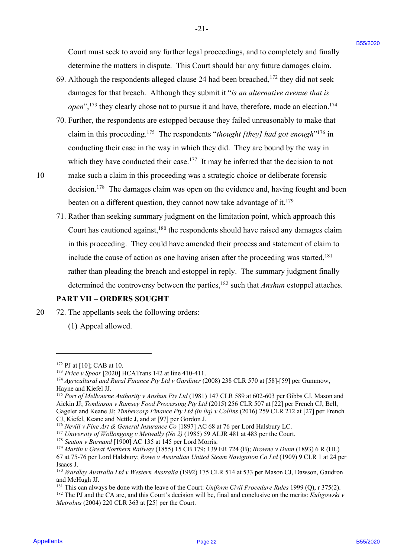Court must seek to avoid any further legal proceedings, and to completely and finally Court must seek to avoid any further legal proceedings, and to completely and finally determine the matters in dispute. This Court should bar any future damages claim. determine the matters in dispute. This Court should bar any future damages claim.

- 69. Although the respondents alleged clause 24 had been breached,<sup>172</sup> they did not seek damages for that breach. Although they submit it "*is an alternative avenue that is*  damages for that breach. Although they submit it "is an alternative avenue that is open",<sup>173</sup> they clearly chose not to pursue it and have, therefore, made an election.<sup>174</sup>
- 70. Further, the respondents are estopped because they failed unreasonably to make that 70. Further, the respondents are estopped because they failed unreasonably to make that claim in this proceeding.<sup>175</sup> The respondents "*thought [they] had got enough*"<sup>176</sup> in conducting their case in the way in which they did. They are bound by the way in conducting their case in the way in which they did. They are bound by the way in which they have conducted their case.<sup>177</sup> It may be inferred that the decision to not

- 10 make such a claim in this proceeding was a strategic choice or deliberate forensic <sup>10</sup> make such <sup>a</sup> claim in this proceeding wasa strategic choice or deliberate forensic decision.<sup>178</sup> The damages claim was open on the evidence and, having fought and been beaten on a different question, they cannot now take advantage of it.<sup>179</sup>
- 71. Rather than seeking summary judgment on the limitation point, which approach this 71. Rather than seeking summary judgment on the limitation point, which approach this Court has cautioned against,<sup>180</sup> the respondents should have raised any damages claim in this proceeding. They could have amended their process and statement of claim to in this proceeding. They could have amended their process and statement of claim to include the cause of action as one having arisen after the proceeding was started, 181 include the cause of action as one having arisen after the proceeding was started,!®! rather than pleading the breach and estoppel in reply. The summary judgment finally rather than pleading the breach and estoppel in reply. The summary judgment finally determined the controversy between the parties,<sup>182</sup> such that *Anshun* estoppel attaches. Court must seek to avoid any further legal proceedings, and to completely and finally<br>determine the values of inference the second stead of the area by the second steady. They did not seek<br>determines the second steady of

## **PART VII – ORDERS SOUGHT**

- 20 72. The appellants seek the following orders: 20 72. The appellants seek the following orders:
	- (1) Appeal allowed. (1) Appeal allowed.

 $172$  PJ at [10]; CAB at 10.

<sup>&</sup>lt;sup>173</sup> *Price v Spoor* [2020] HCATrans 142 at line 410-411.

<sup>&</sup>lt;sup>174</sup> Agricultural and Rural Finance Pty Ltd v Gardiner (2008) 238 CLR 570 at [58]-[59] per Gummow, Hayne and Kiefel JJ.

<sup>&</sup>lt;sup>175</sup> Port of Melbourne Authority v Anshun Pty Ltd (1981) 147 CLR 589 at 602-603 per Gibbs CJ, Mason and Aickin JJ; *Tomlinson v Ramsey Food Processing Pty Ltd* (2015) 256 CLR 507 at [22] per French CJ, Bell, Aickin JJ; Tomlinson v Ramsey Food Processing Pty Ltd (2015) 256 CLR 507 at [22] per French CJ, Bell, Gageler and Keane JJ; Timbercorp Finance Pty Ltd (in liq) v Collins (2016) 259 CLR 212 at [27] per French CJ, Kiefel, Keane and Nettle J, and at [97] per Gordon J.

<sup>&</sup>lt;sup>176</sup> *Nevill v Fine Art & General Insurance Co* [1897] AC 68 at 76 per Lord Halsbury LC.

<sup>&</sup>lt;sup>177</sup> *University of Wollongong v Metwally (No 2)* (1985) 59 ALJR 481 at 483 per the Court.

<sup>&</sup>lt;sup>178</sup> Seaton v Burnand [1900] AC 135 at 145 per Lord Morris.

<sup>179</sup> *Martin v Great Northern Railway* (1855) 15 CB 179; 139 ER 724 (B); *Browne v Dunn* (1893) 6 R (HL) 9 Martin <sup>v</sup> Great Northern Railway (1855) <sup>15</sup> CB 179; <sup>139</sup> ER <sup>724</sup> (B); Browne <sup>v</sup> Dunn (1893) <sup>6</sup> <sup>R</sup> (HL) 67 at 75-76 per Lord Halsbury; *Rowe v Australian United Steam Navigation Co Ltd* (1909) 9 CLR 1 at 24 per 67 at 75-76 per Lord Halsbury; Rowe v Australian United Steam Navigation Co Ltd (1909) 9 CLR | at 24 per Isaacs J. Isaacs J.

<sup>&</sup>lt;sup>180</sup> Wardley Australia Ltd v Western Australia (1992) 175 CLR 514 at 533 per Mason CJ, Dawson, Gaudron and McHugh JJ.

<sup>&</sup>lt;sup>181</sup> This can always be done with the leave of the Court: Uniform Civil Procedure Rules 1999 (Q), r 375(2).  $^{182}$  The PJ and the CA are, and this Court's decision will be, final and conclusive on the merits: Kuligowski v *Metrobus* (2004) 220 CLR 363 at [25] per the Court. Metrobus (2004) 220 CLR 363 at [25] per the Court.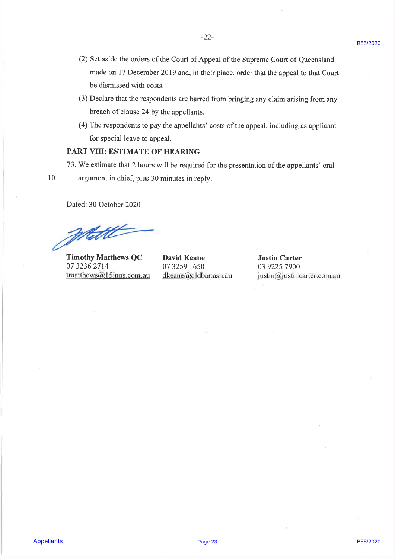- C3 Sct asids the others of Pau Court of Appell of the Supreme Court of Oversalindal<br>
and exact J Dosenbot 2019 and, in their place, reder that the appell of bias Court<br>
be distanted with easter.<br>
(3) Declare due the respo (2) Set aside the orders of the Court of Appeal of the Supreme Court of Queensland made on 17 December 2019 and, in their place, order that the appeal to that Court be dismissed with costs.
	- (3) Declare that the respondents are barred from bringing any claim arising from any breach of clause 24 by the appellants.
	- (4) The respondents to pay the appellants' costs of the appeal, including as applicant for special leave to appeal.

## PART VIII: ESTIMATE OF HEARING

- 73. We estimate that 2 hours will be required for the presentation of the appellants' oral 10 argument in chief, plus 30 minutes in reply.
- 

Dated: 30 October 2020

Wett

Timothy Matthews QC David Keane Justin Carter 07 3236 2714 07 3259 1650 03 9225 7900  $t$ matthews@15inns.com.au dkeane@qldbar.asn.au justin@justincarter.com.au